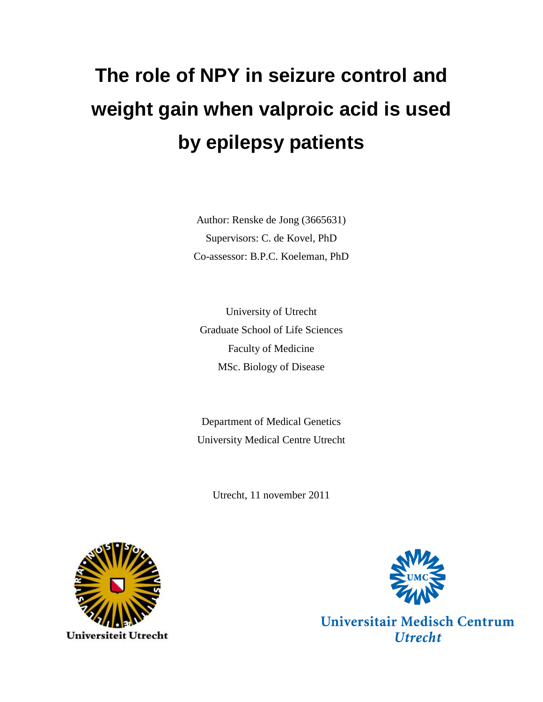# **The role of NPY in seizure control and weight gain when valproic acid is used by epilepsy patients**

Author: Renske de Jong (3665631) Supervisors: C. de Kovel, PhD Co-assessor: B.P.C. Koeleman, PhD

University of Utrecht Graduate School of Life Sciences Faculty of Medicine MSc. Biology of Disease

Department of Medical Genetics University Medical Centre Utrecht

Utrecht, 11 november 2011





Universitair Medisch Centrum **Utrecht**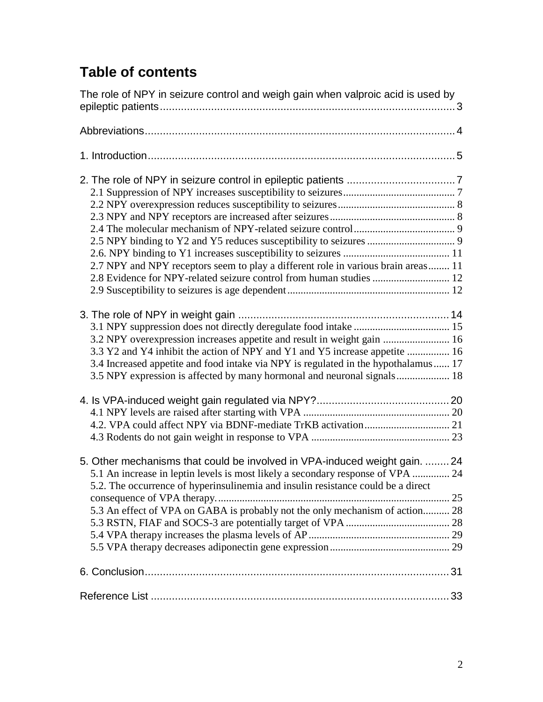# **Table of contents**

<span id="page-1-0"></span>

| The role of NPY in seizure control and weigh gain when valproic acid is used by    |  |
|------------------------------------------------------------------------------------|--|
|                                                                                    |  |
|                                                                                    |  |
|                                                                                    |  |
|                                                                                    |  |
|                                                                                    |  |
|                                                                                    |  |
|                                                                                    |  |
|                                                                                    |  |
|                                                                                    |  |
| 2.7 NPY and NPY receptors seem to play a different role in various brain areas 11  |  |
|                                                                                    |  |
|                                                                                    |  |
|                                                                                    |  |
|                                                                                    |  |
|                                                                                    |  |
| 3.2 NPY overexpression increases appetite and result in weight gain  16            |  |
| 3.3 Y2 and Y4 inhibit the action of NPY and Y1 and Y5 increase appetite  16        |  |
| 3.4 Increased appetite and food intake via NPY is regulated in the hypothalamus 17 |  |
| 3.5 NPY expression is affected by many hormonal and neuronal signals 18            |  |
|                                                                                    |  |
|                                                                                    |  |
|                                                                                    |  |
|                                                                                    |  |
|                                                                                    |  |
| 5. Other mechanisms that could be involved in VPA-induced weight gain.  24         |  |
| 5.1 An increase in leptin levels is most likely a secondary response of VPA  24    |  |
| 5.2. The occurrence of hyperinsulinemia and insulin resistance could be a direct   |  |
|                                                                                    |  |
| 5.3 An effect of VPA on GABA is probably not the only mechanism of action 28       |  |
|                                                                                    |  |
|                                                                                    |  |
|                                                                                    |  |
|                                                                                    |  |
|                                                                                    |  |
|                                                                                    |  |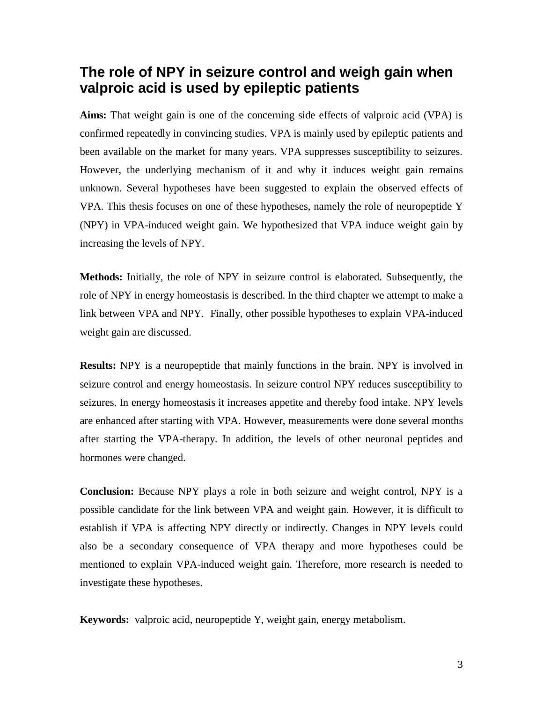# **The role of NPY in seizure control and weigh gain when valproic acid is used by epileptic patients**

**Aims:** That weight gain is one of the concerning side effects of valproic acid (VPA) is confirmed repeatedly in convincing studies. VPA is mainly used by epileptic patients and been available on the market for many years. VPA suppresses susceptibility to seizures. However, the underlying mechanism of it and why it induces weight gain remains unknown. Several hypotheses have been suggested to explain the observed effects of VPA. This thesis focuses on one of these hypotheses, namely the role of neuropeptide Y (NPY) in VPA-induced weight gain. We hypothesized that VPA induce weight gain by increasing the levels of NPY.

**Methods:** Initially, the role of NPY in seizure control is elaborated. Subsequently, the role of NPY in energy homeostasis is described. In the third chapter we attempt to make a link between VPA and NPY. Finally, other possible hypotheses to explain VPA-induced weight gain are discussed.

**Results:** NPY is a neuropeptide that mainly functions in the brain. NPY is involved in seizure control and energy homeostasis. In seizure control NPY reduces susceptibility to seizures. In energy homeostasis it increases appetite and thereby food intake. NPY levels are enhanced after starting with VPA. However, measurements were done several months after starting the VPA-therapy. In addition, the levels of other neuronal peptides and hormones were changed.

**Conclusion:** Because NPY plays a role in both seizure and weight control, NPY is a possible candidate for the link between VPA and weight gain. However, it is difficult to establish if VPA is affecting NPY directly or indirectly. Changes in NPY levels could also be a secondary consequence of VPA therapy and more hypotheses could be mentioned to explain VPA-induced weight gain. Therefore, more research is needed to investigate these hypotheses.

**Keywords:** valproic acid, neuropeptide Y, weight gain, energy metabolism.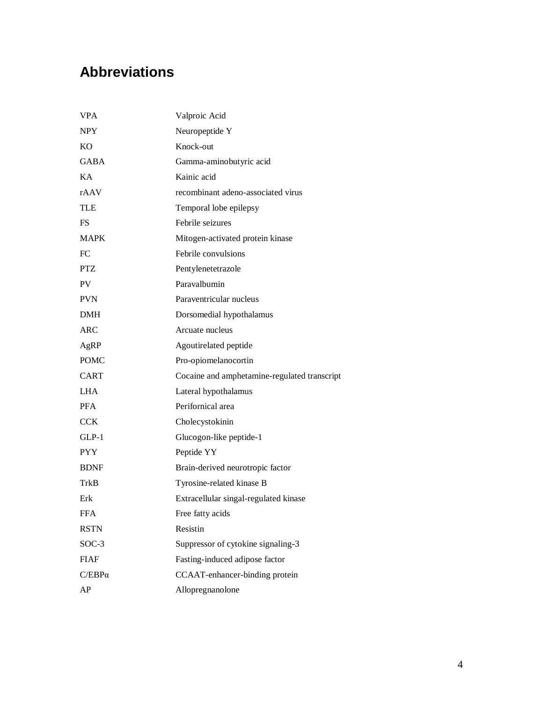# <span id="page-3-0"></span>**Abbreviations**

| <b>VPA</b>    | Valproic Acid                                |
|---------------|----------------------------------------------|
| <b>NPY</b>    | Neuropeptide Y                               |
| <b>KO</b>     | Knock-out                                    |
| <b>GABA</b>   | Gamma-aminobutyric acid                      |
| KA.           | Kainic acid                                  |
| rAAV          | recombinant adeno-associated virus           |
| TLE           | Temporal lobe epilepsy                       |
| FS.           | Febrile seizures                             |
| <b>MAPK</b>   | Mitogen-activated protein kinase             |
| FC            | Febrile convulsions                          |
| <b>PTZ</b>    | Pentylenetetrazole                           |
| PV            | Paravalbumin                                 |
| <b>PVN</b>    | Paraventricular nucleus                      |
| <b>DMH</b>    | Dorsomedial hypothalamus                     |
| <b>ARC</b>    | Arcuate nucleus                              |
| AgRP          | Agoutirelated peptide                        |
| <b>POMC</b>   | Pro-opiomelanocortin                         |
| <b>CART</b>   | Cocaine and amphetamine-regulated transcript |
| LHA           | Lateral hypothalamus                         |
| <b>PFA</b>    | Perifornical area                            |
| <b>CCK</b>    | Cholecystokinin                              |
| $GLP-1$       | Glucogon-like peptide-1                      |
| <b>PYY</b>    | Peptide YY                                   |
| <b>BDNF</b>   | Brain-derived neurotropic factor             |
| TrkB          | Tyrosine-related kinase B                    |
| Erk           | Extracellular singal-regulated kinase        |
| <b>FFA</b>    | Free fatty acids                             |
| <b>RSTN</b>   | Resistin                                     |
| $SOC-3$       | Suppressor of cytokine signaling-3           |
| <b>FIAF</b>   | Fasting-induced adipose factor               |
| $C/EBP\alpha$ | CCAAT-enhancer-binding protein               |
| AP            | Allopregnanolone                             |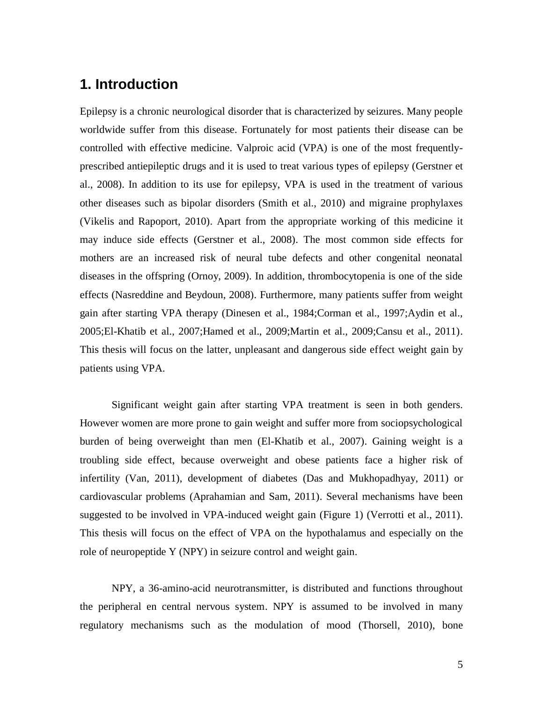# <span id="page-4-0"></span>**1. Introduction**

Epilepsy is a chronic neurological disorder that is characterized by seizures. Many people worldwide suffer from this disease. Fortunately for most patients their disease can be controlled with effective medicine. Valproic acid (VPA) is one of the most frequentlyprescribed antiepileptic drugs and it is used to treat various types of epilepsy (Gerstner et al., 2008). In addition to its use for epilepsy, VPA is used in the treatment of various other diseases such as bipolar disorders (Smith et al., 2010) and migraine prophylaxes (Vikelis and Rapoport, 2010). Apart from the appropriate working of this medicine it may induce side effects (Gerstner et al., 2008). The most common side effects for mothers are an increased risk of neural tube defects and other congenital neonatal diseases in the offspring (Ornoy, 2009). In addition, thrombocytopenia is one of the side effects (Nasreddine and Beydoun, 2008). Furthermore, many patients suffer from weight gain after starting VPA therapy (Dinesen et al., 1984;Corman et al., 1997;Aydin et al., 2005;El-Khatib et al., 2007;Hamed et al., 2009;Martin et al., 2009;Cansu et al., 2011). This thesis will focus on the latter, unpleasant and dangerous side effect weight gain by patients using VPA.

Significant weight gain after starting VPA treatment is seen in both genders. However women are more prone to gain weight and suffer more from sociopsychological burden of being overweight than men (El-Khatib et al., 2007). Gaining weight is a troubling side effect, because overweight and obese patients face a higher risk of infertility (Van, 2011), development of diabetes (Das and Mukhopadhyay, 2011) or cardiovascular problems (Aprahamian and Sam, 2011). Several mechanisms have been suggested to be involved in VPA-induced weight gain (Figure 1) (Verrotti et al., 2011). This thesis will focus on the effect of VPA on the hypothalamus and especially on the role of neuropeptide Y (NPY) in seizure control and weight gain.

NPY, a 36-amino-acid neurotransmitter, is distributed and functions throughout the peripheral en central nervous system. NPY is assumed to be involved in many regulatory mechanisms such as the modulation of mood (Thorsell, 2010), bone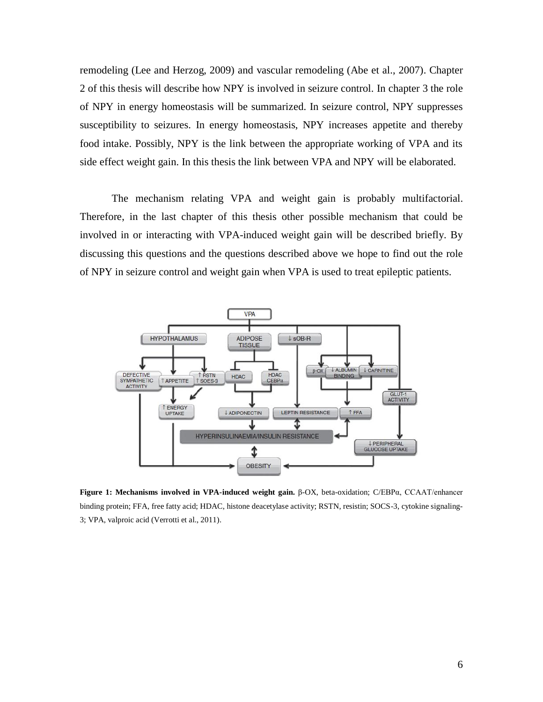remodeling (Lee and Herzog, 2009) and vascular remodeling (Abe et al., 2007). Chapter 2 of this thesis will describe how NPY is involved in seizure control. In chapter 3 the role of NPY in energy homeostasis will be summarized. In seizure control, NPY suppresses susceptibility to seizures. In energy homeostasis, NPY increases appetite and thereby food intake. Possibly, NPY is the link between the appropriate working of VPA and its side effect weight gain. In this thesis the link between VPA and NPY will be elaborated.

The mechanism relating VPA and weight gain is probably multifactorial. Therefore, in the last chapter of this thesis other possible mechanism that could be involved in or interacting with VPA-induced weight gain will be described briefly. By discussing this questions and the questions described above we hope to find out the role of NPY in seizure control and weight gain when VPA is used to treat epileptic patients.



**Figure 1: Mechanisms involved in VPA-induced weight gain.** β-OX, beta-oxidation; C/EBPα, CCAAT/enhancer binding protein; FFA, free fatty acid; HDAC, histone deacetylase activity; RSTN, resistin; SOCS-3, cytokine signaling-3; VPA, valproic acid (Verrotti et al., 2011).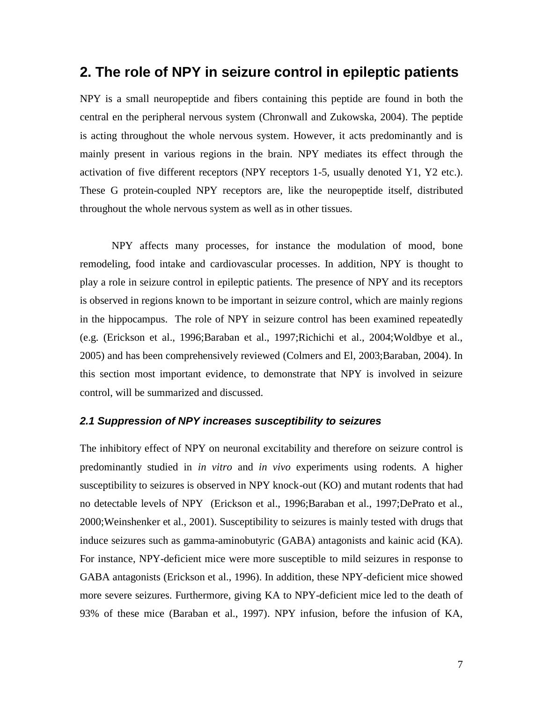### <span id="page-6-0"></span>**2. The role of NPY in seizure control in epileptic patients**

NPY is a small neuropeptide and fibers containing this peptide are found in both the central en the peripheral nervous system (Chronwall and Zukowska, 2004). The peptide is acting throughout the whole nervous system. However, it acts predominantly and is mainly present in various regions in the brain. NPY mediates its effect through the activation of five different receptors (NPY receptors 1-5, usually denoted Y1, Y2 etc.). These G protein-coupled NPY receptors are, like the neuropeptide itself, distributed throughout the whole nervous system as well as in other tissues.

NPY affects many processes, for instance the modulation of mood, bone remodeling, food intake and cardiovascular processes. In addition, NPY is thought to play a role in seizure control in epileptic patients. The presence of NPY and its receptors is observed in regions known to be important in seizure control, which are mainly regions in the hippocampus. The role of NPY in seizure control has been examined repeatedly (e.g. (Erickson et al., 1996;Baraban et al., 1997;Richichi et al., 2004;Woldbye et al., 2005) and has been comprehensively reviewed (Colmers and El, 2003;Baraban, 2004). In this section most important evidence, to demonstrate that NPY is involved in seizure control, will be summarized and discussed.

#### <span id="page-6-1"></span>*2.1 Suppression of NPY increases susceptibility to seizures*

The inhibitory effect of NPY on neuronal excitability and therefore on seizure control is predominantly studied in *in vitro* and *in vivo* experiments using rodents. A higher susceptibility to seizures is observed in NPY knock-out (KO) and mutant rodents that had no detectable levels of NPY (Erickson et al., 1996;Baraban et al., 1997;DePrato et al., 2000;Weinshenker et al., 2001). Susceptibility to seizures is mainly tested with drugs that induce seizures such as gamma-aminobutyric (GABA) antagonists and kainic acid (KA). For instance, NPY-deficient mice were more susceptible to mild seizures in response to GABA antagonists (Erickson et al., 1996). In addition, these NPY-deficient mice showed more severe seizures. Furthermore, giving KA to NPY-deficient mice led to the death of 93% of these mice (Baraban et al., 1997). NPY infusion, before the infusion of KA,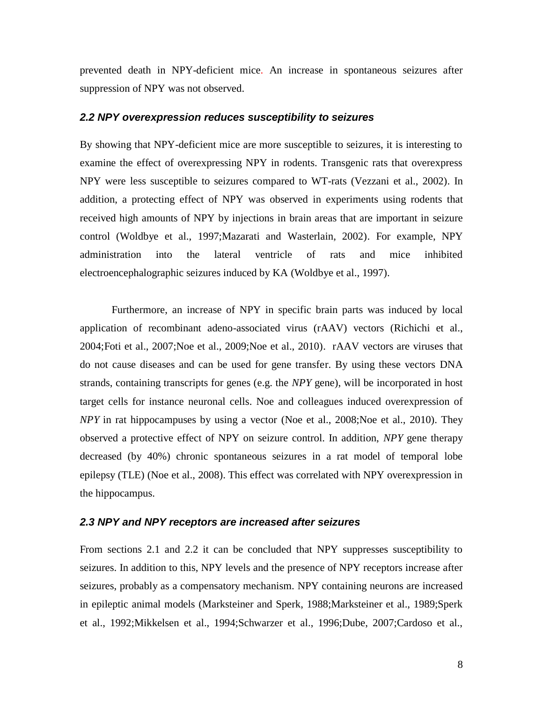prevented death in NPY-deficient mice. An increase in spontaneous seizures after suppression of NPY was not observed.

#### <span id="page-7-0"></span>*2.2 NPY overexpression reduces susceptibility to seizures*

By showing that NPY-deficient mice are more susceptible to seizures, it is interesting to examine the effect of overexpressing NPY in rodents. Transgenic rats that overexpress NPY were less susceptible to seizures compared to WT-rats (Vezzani et al., 2002). In addition, a protecting effect of NPY was observed in experiments using rodents that received high amounts of NPY by injections in brain areas that are important in seizure control (Woldbye et al., 1997;Mazarati and Wasterlain, 2002). For example, NPY administration into the lateral ventricle of rats and mice inhibited electroencephalographic seizures induced by KA (Woldbye et al., 1997).

Furthermore, an increase of NPY in specific brain parts was induced by local application of recombinant adeno-associated virus (rAAV) vectors (Richichi et al., 2004;Foti et al., 2007;Noe et al., 2009;Noe et al., 2010). rAAV vectors are viruses that do not cause diseases and can be used for gene transfer. By using these vectors DNA strands, containing transcripts for genes (e.g. the *NPY* gene), will be incorporated in host target cells for instance neuronal cells. Noe and colleagues induced overexpression of *NPY* in rat hippocampuses by using a vector (Noe et al., 2008;Noe et al., 2010). They observed a protective effect of NPY on seizure control. In addition, *NPY* gene therapy decreased (by 40%) chronic spontaneous seizures in a rat model of temporal lobe epilepsy (TLE) (Noe et al., 2008). This effect was correlated with NPY overexpression in the hippocampus.

#### <span id="page-7-1"></span>*2.3 NPY and NPY receptors are increased after seizures*

From sections 2.1 and 2.2 it can be concluded that NPY suppresses susceptibility to seizures. In addition to this, NPY levels and the presence of NPY receptors increase after seizures, probably as a compensatory mechanism. NPY containing neurons are increased in epileptic animal models (Marksteiner and Sperk, 1988;Marksteiner et al., 1989;Sperk et al., 1992;Mikkelsen et al., 1994;Schwarzer et al., 1996;Dube, 2007;Cardoso et al.,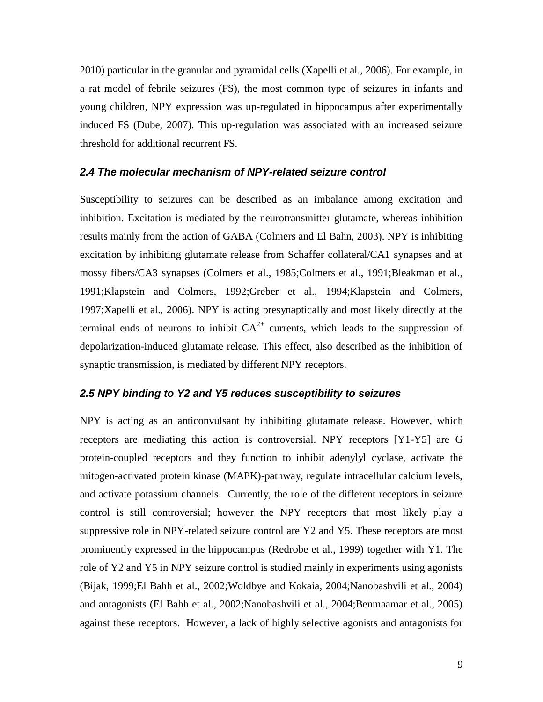2010) particular in the granular and pyramidal cells (Xapelli et al., 2006). For example, in a rat model of febrile seizures (FS), the most common type of seizures in infants and young children, NPY expression was up-regulated in hippocampus after experimentally induced FS (Dube, 2007). This up-regulation was associated with an increased seizure threshold for additional recurrent FS.

#### <span id="page-8-0"></span>*2.4 The molecular mechanism of NPY-related seizure control*

Susceptibility to seizures can be described as an imbalance among excitation and inhibition. Excitation is mediated by the neurotransmitter glutamate, whereas inhibition results mainly from the action of GABA (Colmers and El Bahn, 2003). NPY is inhibiting excitation by inhibiting glutamate release from Schaffer collateral/CA1 synapses and at mossy fibers/CA3 synapses (Colmers et al., 1985;Colmers et al., 1991;Bleakman et al., 1991;Klapstein and Colmers, 1992;Greber et al., 1994;Klapstein and Colmers, 1997;Xapelli et al., 2006). NPY is acting presynaptically and most likely directly at the terminal ends of neurons to inhibit  $CA^{2+}$  currents, which leads to the suppression of depolarization-induced glutamate release. This effect, also described as the inhibition of synaptic transmission, is mediated by different NPY receptors.

#### <span id="page-8-1"></span>*2.5 NPY binding to Y2 and Y5 reduces susceptibility to seizures*

NPY is acting as an anticonvulsant by inhibiting glutamate release. However, which receptors are mediating this action is controversial. NPY receptors [Y1-Y5] are G protein-coupled receptors and they function to inhibit adenylyl cyclase, activate the mitogen-activated protein kinase (MAPK)-pathway, regulate intracellular calcium levels, and activate potassium channels. Currently, the role of the different receptors in seizure control is still controversial; however the NPY receptors that most likely play a suppressive role in NPY-related seizure control are Y2 and Y5. These receptors are most prominently expressed in the hippocampus (Redrobe et al., 1999) together with Y1. The role of Y2 and Y5 in NPY seizure control is studied mainly in experiments using agonists (Bijak, 1999;El Bahh et al., 2002;Woldbye and Kokaia, 2004;Nanobashvili et al., 2004) and antagonists (El Bahh et al., 2002;Nanobashvili et al., 2004;Benmaamar et al., 2005) against these receptors. However, a lack of highly selective agonists and antagonists for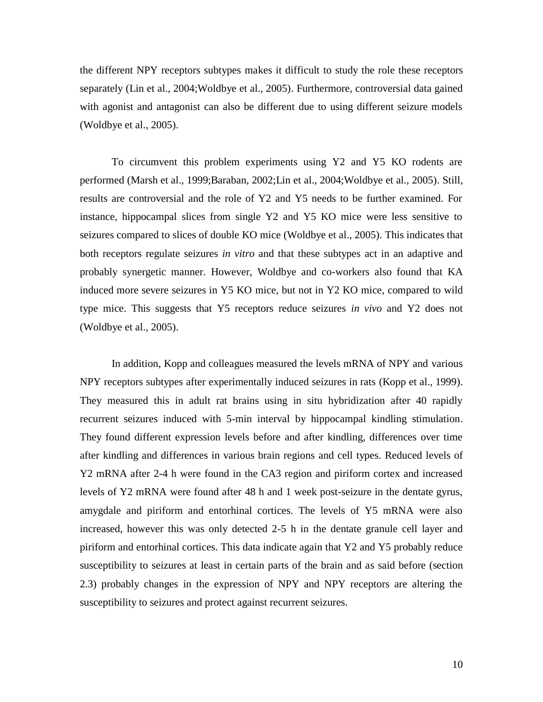the different NPY receptors subtypes makes it difficult to study the role these receptors separately (Lin et al., 2004;Woldbye et al., 2005). Furthermore, controversial data gained with agonist and antagonist can also be different due to using different seizure models (Woldbye et al., 2005).

To circumvent this problem experiments using Y2 and Y5 KO rodents are performed (Marsh et al., 1999;Baraban, 2002;Lin et al., 2004;Woldbye et al., 2005). Still, results are controversial and the role of Y2 and Y5 needs to be further examined. For instance, hippocampal slices from single Y2 and Y5 KO mice were less sensitive to seizures compared to slices of double KO mice (Woldbye et al., 2005). This indicates that both receptors regulate seizures *in vitro* and that these subtypes act in an adaptive and probably synergetic manner. However, Woldbye and co-workers also found that KA induced more severe seizures in Y5 KO mice, but not in Y2 KO mice, compared to wild type mice. This suggests that Y5 receptors reduce seizures *in vivo* and Y2 does not (Woldbye et al., 2005).

In addition, Kopp and colleagues measured the levels mRNA of NPY and various NPY receptors subtypes after experimentally induced seizures in rats (Kopp et al., 1999). They measured this in adult rat brains using in situ hybridization after 40 rapidly recurrent seizures induced with 5-min interval by hippocampal kindling stimulation. They found different expression levels before and after kindling, differences over time after kindling and differences in various brain regions and cell types. Reduced levels of Y2 mRNA after 2-4 h were found in the CA3 region and piriform cortex and increased levels of Y2 mRNA were found after 48 h and 1 week post-seizure in the dentate gyrus, amygdale and piriform and entorhinal cortices. The levels of Y5 mRNA were also increased, however this was only detected 2-5 h in the dentate granule cell layer and piriform and entorhinal cortices. This data indicate again that Y2 and Y5 probably reduce susceptibility to seizures at least in certain parts of the brain and as said before (section 2.3) probably changes in the expression of NPY and NPY receptors are altering the susceptibility to seizures and protect against recurrent seizures.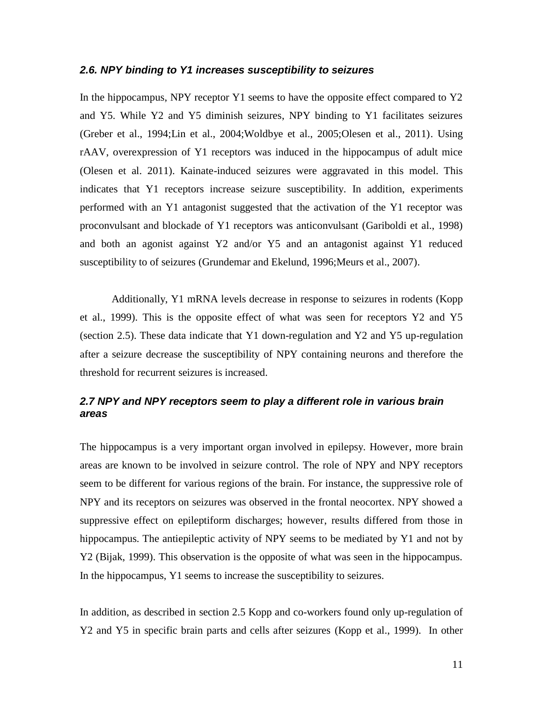#### <span id="page-10-0"></span>*2.6. NPY binding to Y1 increases susceptibility to seizures*

In the hippocampus, NPY receptor Y1 seems to have the opposite effect compared to Y2 and Y5. While Y2 and Y5 diminish seizures, NPY binding to Y1 facilitates seizures (Greber et al., 1994;Lin et al., 2004;Woldbye et al., 2005;Olesen et al., 2011). Using rAAV, overexpression of Y1 receptors was induced in the hippocampus of adult mice (Olesen et al. 2011). Kainate-induced seizures were aggravated in this model. This indicates that Y1 receptors increase seizure susceptibility. In addition, experiments performed with an Y1 antagonist suggested that the activation of the Y1 receptor was proconvulsant and blockade of Y1 receptors was anticonvulsant (Gariboldi et al., 1998) and both an agonist against Y2 and/or Y5 and an antagonist against Y1 reduced susceptibility to of seizures (Grundemar and Ekelund, 1996;Meurs et al., 2007).

Additionally, Y1 mRNA levels decrease in response to seizures in rodents (Kopp et al., 1999). This is the opposite effect of what was seen for receptors Y2 and Y5 (section 2.5). These data indicate that Y1 down-regulation and Y2 and Y5 up-regulation after a seizure decrease the susceptibility of NPY containing neurons and therefore the threshold for recurrent seizures is increased.

#### <span id="page-10-1"></span>*2.7 NPY and NPY receptors seem to play a different role in various brain areas*

The hippocampus is a very important organ involved in epilepsy. However, more brain areas are known to be involved in seizure control. The role of NPY and NPY receptors seem to be different for various regions of the brain. For instance, the suppressive role of NPY and its receptors on seizures was observed in the frontal neocortex. NPY showed a suppressive effect on epileptiform discharges; however, results differed from those in hippocampus. The antiepileptic activity of NPY seems to be mediated by Y1 and not by Y2 (Bijak, 1999). This observation is the opposite of what was seen in the hippocampus. In the hippocampus, Y1 seems to increase the susceptibility to seizures.

In addition, as described in section 2.5 Kopp and co-workers found only up-regulation of Y2 and Y5 in specific brain parts and cells after seizures (Kopp et al., 1999). In other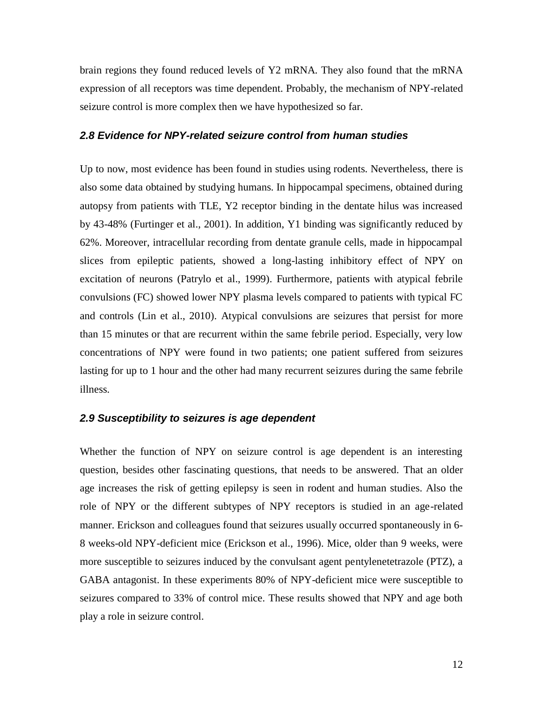brain regions they found reduced levels of Y2 mRNA. They also found that the mRNA expression of all receptors was time dependent. Probably, the mechanism of NPY-related seizure control is more complex then we have hypothesized so far.

#### <span id="page-11-0"></span>*2.8 Evidence for NPY-related seizure control from human studies*

Up to now, most evidence has been found in studies using rodents. Nevertheless, there is also some data obtained by studying humans. In hippocampal specimens, obtained during autopsy from patients with TLE, Y2 receptor binding in the dentate hilus was increased by 43-48% (Furtinger et al., 2001). In addition, Y1 binding was significantly reduced by 62%. Moreover, intracellular recording from dentate granule cells, made in hippocampal slices from epileptic patients, showed a long-lasting inhibitory effect of NPY on excitation of neurons (Patrylo et al., 1999). Furthermore, patients with atypical febrile convulsions (FC) showed lower NPY plasma levels compared to patients with typical FC and controls (Lin et al., 2010). Atypical convulsions are seizures that persist for more than 15 minutes or that are recurrent within the same febrile period. Especially, very low concentrations of NPY were found in two patients; one patient suffered from seizures lasting for up to 1 hour and the other had many recurrent seizures during the same febrile illness.

#### <span id="page-11-1"></span>*2.9 Susceptibility to seizures is age dependent*

Whether the function of NPY on seizure control is age dependent is an interesting question, besides other fascinating questions, that needs to be answered. That an older age increases the risk of getting epilepsy is seen in rodent and human studies. Also the role of NPY or the different subtypes of NPY receptors is studied in an age-related manner. Erickson and colleagues found that seizures usually occurred spontaneously in 6- 8 weeks-old NPY-deficient mice (Erickson et al., 1996). Mice, older than 9 weeks, were more susceptible to seizures induced by the convulsant agent pentylenetetrazole (PTZ), a GABA antagonist. In these experiments 80% of NPY-deficient mice were susceptible to seizures compared to 33% of control mice. These results showed that NPY and age both play a role in seizure control.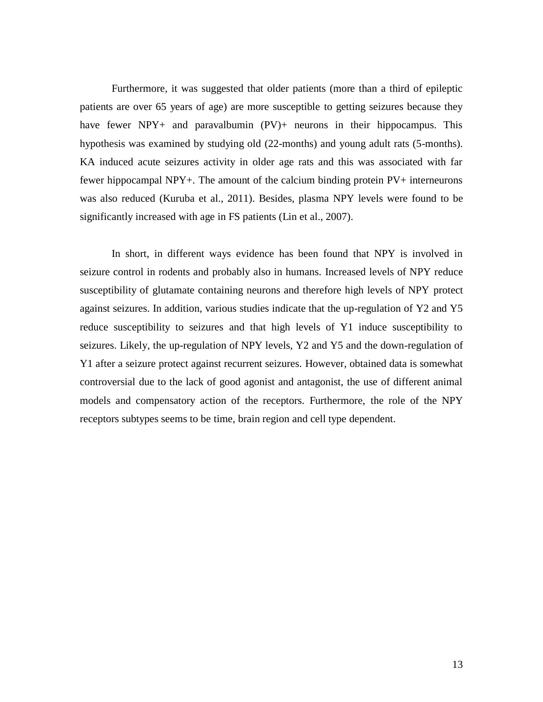Furthermore, it was suggested that older patients (more than a third of epileptic patients are over 65 years of age) are more susceptible to getting seizures because they have fewer NPY+ and paravalbumin (PV)+ neurons in their hippocampus. This hypothesis was examined by studying old (22-months) and young adult rats (5-months). KA induced acute seizures activity in older age rats and this was associated with far fewer hippocampal NPY+. The amount of the calcium binding protein PV+ interneurons was also reduced (Kuruba et al., 2011). Besides, plasma NPY levels were found to be significantly increased with age in FS patients (Lin et al., 2007).

In short, in different ways evidence has been found that NPY is involved in seizure control in rodents and probably also in humans. Increased levels of NPY reduce susceptibility of glutamate containing neurons and therefore high levels of NPY protect against seizures. In addition, various studies indicate that the up-regulation of Y2 and Y5 reduce susceptibility to seizures and that high levels of Y1 induce susceptibility to seizures. Likely, the up-regulation of NPY levels, Y2 and Y5 and the down-regulation of Y1 after a seizure protect against recurrent seizures. However, obtained data is somewhat controversial due to the lack of good agonist and antagonist, the use of different animal models and compensatory action of the receptors. Furthermore, the role of the NPY receptors subtypes seems to be time, brain region and cell type dependent.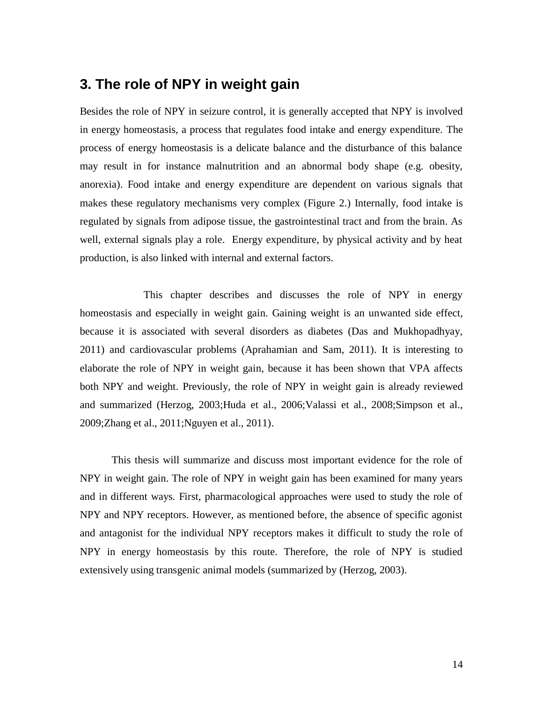## <span id="page-13-0"></span>**3. The role of NPY in weight gain**

Besides the role of NPY in seizure control, it is generally accepted that NPY is involved in energy homeostasis, a process that regulates food intake and energy expenditure. The process of energy homeostasis is a delicate balance and the disturbance of this balance may result in for instance malnutrition and an abnormal body shape (e.g. obesity, anorexia). Food intake and energy expenditure are dependent on various signals that makes these regulatory mechanisms very complex (Figure 2.) Internally, food intake is regulated by signals from adipose tissue, the gastrointestinal tract and from the brain. As well, external signals play a role. Energy expenditure, by physical activity and by heat production, is also linked with internal and external factors.

This chapter describes and discusses the role of NPY in energy homeostasis and especially in weight gain. Gaining weight is an unwanted side effect, because it is associated with several disorders as diabetes (Das and Mukhopadhyay, 2011) and cardiovascular problems (Aprahamian and Sam, 2011). It is interesting to elaborate the role of NPY in weight gain, because it has been shown that VPA affects both NPY and weight. Previously, the role of NPY in weight gain is already reviewed and summarized (Herzog, 2003;Huda et al., 2006;Valassi et al., 2008;Simpson et al., 2009;Zhang et al., 2011;Nguyen et al., 2011).

This thesis will summarize and discuss most important evidence for the role of NPY in weight gain. The role of NPY in weight gain has been examined for many years and in different ways. First, pharmacological approaches were used to study the role of NPY and NPY receptors. However, as mentioned before, the absence of specific agonist and antagonist for the individual NPY receptors makes it difficult to study the role of NPY in energy homeostasis by this route. Therefore, the role of NPY is studied extensively using transgenic animal models (summarized by (Herzog, 2003).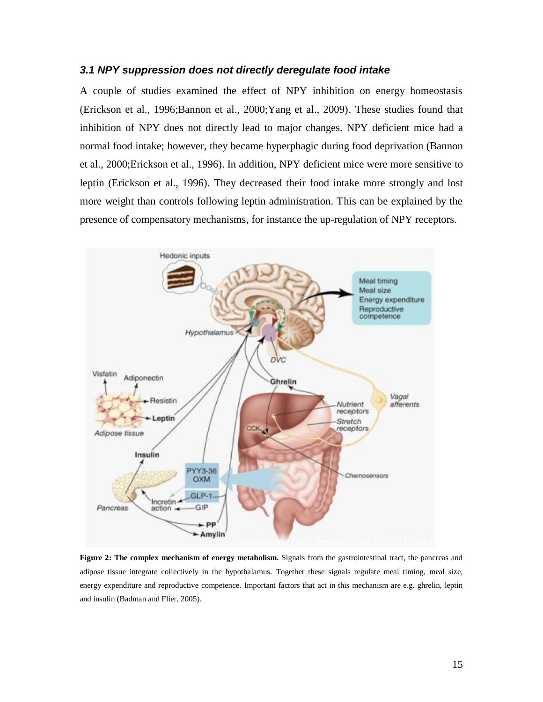#### <span id="page-14-0"></span>*3.1 NPY suppression does not directly deregulate food intake*

A couple of studies examined the effect of NPY inhibition on energy homeostasis (Erickson et al., 1996;Bannon et al., 2000;Yang et al., 2009). These studies found that inhibition of NPY does not directly lead to major changes. NPY deficient mice had a normal food intake; however, they became hyperphagic during food deprivation (Bannon et al., 2000;Erickson et al., 1996). In addition, NPY deficient mice were more sensitive to leptin (Erickson et al., 1996). They decreased their food intake more strongly and lost more weight than controls following leptin administration. This can be explained by the presence of compensatory mechanisms, for instance the up-regulation of NPY receptors.



**Figure 2: The complex mechanism of energy metabolism.** Signals from the gastrointestinal tract, the pancreas and adipose tissue integrate collectively in the hypothalamus. Together these signals regulate meal timing, meal size, energy expenditure and reproductive competence. Important factors that act in this mechanism are e.g. ghrelin, leptin and insulin (Badman and Flier, 2005).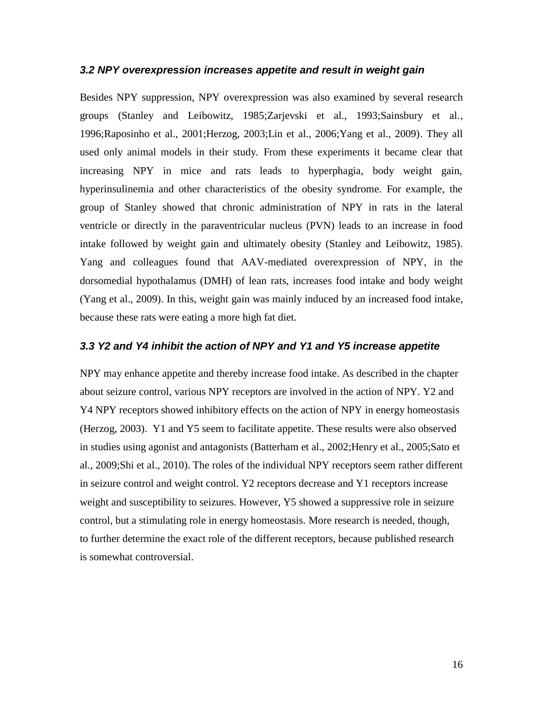#### <span id="page-15-0"></span>*3.2 NPY overexpression increases appetite and result in weight gain*

Besides NPY suppression, NPY overexpression was also examined by several research groups (Stanley and Leibowitz, 1985;Zarjevski et al., 1993;Sainsbury et al., 1996;Raposinho et al., 2001;Herzog, 2003;Lin et al., 2006;Yang et al., 2009). They all used only animal models in their study. From these experiments it became clear that increasing NPY in mice and rats leads to hyperphagia, body weight gain, hyperinsulinemia and other characteristics of the obesity syndrome. For example, the group of Stanley showed that chronic administration of NPY in rats in the lateral ventricle or directly in the paraventricular nucleus (PVN) leads to an increase in food intake followed by weight gain and ultimately obesity (Stanley and Leibowitz, 1985). Yang and colleagues found that AAV-mediated overexpression of NPY, in the dorsomedial hypothalamus (DMH) of lean rats, increases food intake and body weight (Yang et al., 2009). In this, weight gain was mainly induced by an increased food intake, because these rats were eating a more high fat diet.

#### <span id="page-15-1"></span>*3.3 Y2 and Y4 inhibit the action of NPY and Y1 and Y5 increase appetite*

NPY may enhance appetite and thereby increase food intake. As described in the chapter about seizure control, various NPY receptors are involved in the action of NPY. Y2 and Y4 NPY receptors showed inhibitory effects on the action of NPY in energy homeostasis (Herzog, 2003). Y1 and Y5 seem to facilitate appetite. These results were also observed in studies using agonist and antagonists (Batterham et al., 2002;Henry et al., 2005;Sato et al., 2009;Shi et al., 2010). The roles of the individual NPY receptors seem rather different in seizure control and weight control. Y2 receptors decrease and Y1 receptors increase weight and susceptibility to seizures. However, Y5 showed a suppressive role in seizure control, but a stimulating role in energy homeostasis. More research is needed, though, to further determine the exact role of the different receptors, because published research is somewhat controversial.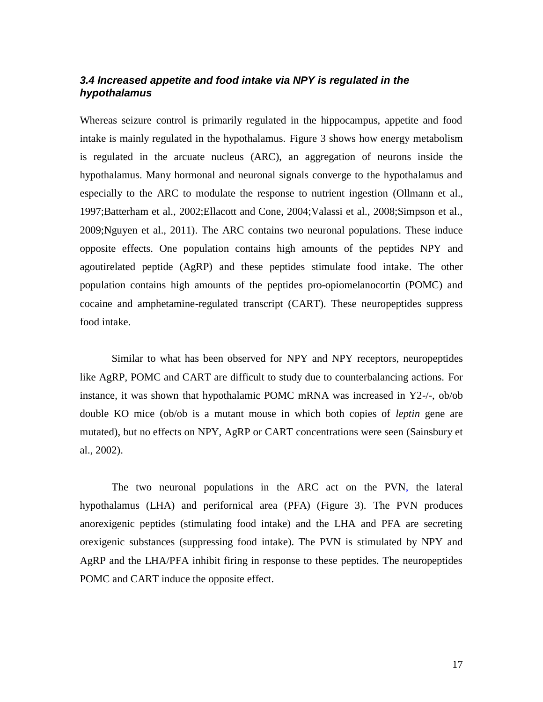#### <span id="page-16-0"></span>*3.4 Increased appetite and food intake via NPY is regulated in the hypothalamus*

Whereas seizure control is primarily regulated in the hippocampus, appetite and food intake is mainly regulated in the hypothalamus. Figure 3 shows how energy metabolism is regulated in the arcuate nucleus (ARC), an aggregation of neurons inside the hypothalamus. Many hormonal and neuronal signals converge to the hypothalamus and especially to the ARC to modulate the response to nutrient ingestion (Ollmann et al., 1997;Batterham et al., 2002;Ellacott and Cone, 2004;Valassi et al., 2008;Simpson et al., 2009;Nguyen et al., 2011). The ARC contains two neuronal populations. These induce opposite effects. One population contains high amounts of the peptides NPY and agoutirelated peptide (AgRP) and these peptides stimulate food intake. The other population contains high amounts of the peptides pro-opiomelanocortin (POMC) and cocaine and amphetamine-regulated transcript (CART). These neuropeptides suppress food intake.

Similar to what has been observed for NPY and NPY receptors, neuropeptides like AgRP, POMC and CART are difficult to study due to counterbalancing actions. For instance, it was shown that hypothalamic POMC mRNA was increased in Y2-/-, ob/ob double KO mice (ob/ob is a mutant mouse in which both copies of *leptin* gene are mutated), but no effects on NPY, AgRP or CART concentrations were seen (Sainsbury et al., 2002).

The two neuronal populations in the ARC act on the PVN, the lateral hypothalamus (LHA) and perifornical area (PFA) (Figure 3). The PVN produces anorexigenic peptides (stimulating food intake) and the LHA and PFA are secreting orexigenic substances (suppressing food intake). The PVN is stimulated by NPY and AgRP and the LHA/PFA inhibit firing in response to these peptides. The neuropeptides POMC and CART induce the opposite effect.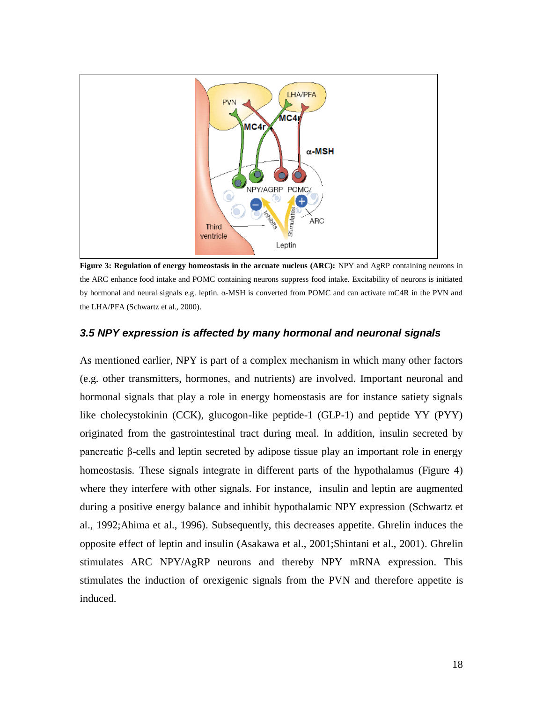

**Figure 3: Regulation of energy homeostasis in the arcuate nucleus (ARC):** NPY and AgRP containing neurons in the ARC enhance food intake and POMC containing neurons suppress food intake. Excitability of neurons is initiated by hormonal and neural signals e.g. leptin. α-MSH is converted from POMC and can activate mC4R in the PVN and the LHA/PFA (Schwartz et al., 2000).

#### <span id="page-17-0"></span>*3.5 NPY expression is affected by many hormonal and neuronal signals*

As mentioned earlier, NPY is part of a complex mechanism in which many other factors (e.g. other transmitters, hormones, and nutrients) are involved. Important neuronal and hormonal signals that play a role in energy homeostasis are for instance satiety signals like cholecystokinin (CCK), glucogon-like peptide-1 (GLP-1) and peptide YY (PYY) originated from the gastrointestinal tract during meal. In addition, insulin secreted by pancreatic β-cells and leptin secreted by adipose tissue play an important role in energy homeostasis. These signals integrate in different parts of the hypothalamus (Figure 4) where they interfere with other signals. For instance, insulin and leptin are augmented during a positive energy balance and inhibit hypothalamic NPY expression (Schwartz et al., 1992;Ahima et al., 1996). Subsequently, this decreases appetite. Ghrelin induces the opposite effect of leptin and insulin (Asakawa et al., 2001;Shintani et al., 2001). Ghrelin stimulates ARC NPY/AgRP neurons and thereby NPY mRNA expression. This stimulates the induction of orexigenic signals from the PVN and therefore appetite is induced.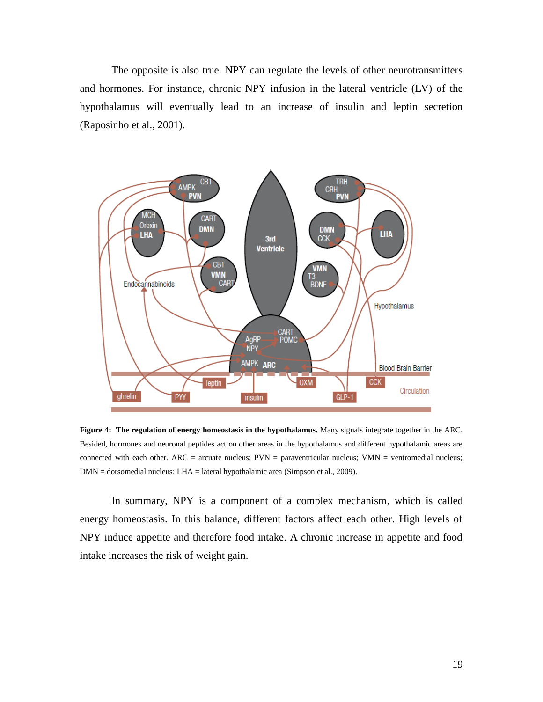The opposite is also true. NPY can regulate the levels of other neurotransmitters and hormones. For instance, chronic NPY infusion in the lateral ventricle (LV) of the hypothalamus will eventually lead to an increase of insulin and leptin secretion (Raposinho et al., 2001).



**Figure 4: The regulation of energy homeostasis in the hypothalamus.** Many signals integrate together in the ARC. Besided, hormones and neuronal peptides act on other areas in the hypothalamus and different hypothalamic areas are connected with each other.  $ARC =$  arcuate nucleus;  $PVN =$  paraventricular nucleus;  $VMN =$  ventromedial nucleus; DMN = dorsomedial nucleus; LHA = lateral hypothalamic area (Simpson et al., 2009).

In summary, NPY is a component of a complex mechanism, which is called energy homeostasis. In this balance, different factors affect each other. High levels of NPY induce appetite and therefore food intake. A chronic increase in appetite and food intake increases the risk of weight gain.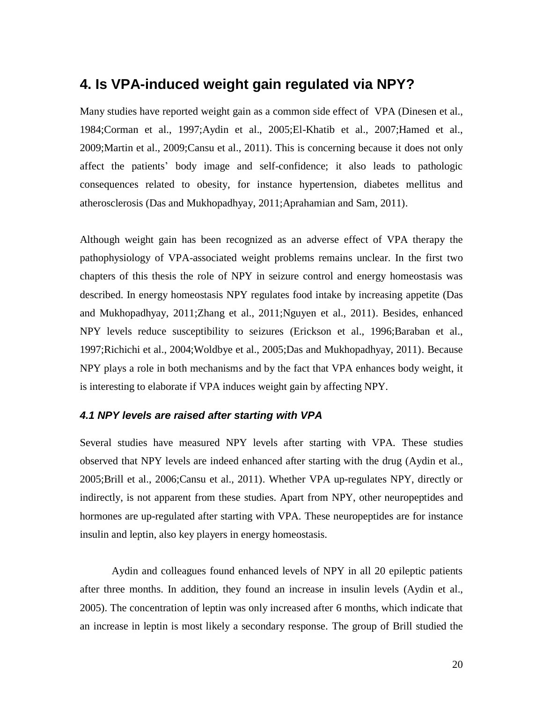### <span id="page-19-0"></span>**4. Is VPA-induced weight gain regulated via NPY?**

Many studies have reported weight gain as a common side effect of VPA (Dinesen et al., 1984;Corman et al., 1997;Aydin et al., 2005;El-Khatib et al., 2007;Hamed et al., 2009;Martin et al., 2009;Cansu et al., 2011). This is concerning because it does not only affect the patients' body image and self-confidence; it also leads to pathologic consequences related to obesity, for instance hypertension, diabetes mellitus and atherosclerosis (Das and Mukhopadhyay, 2011;Aprahamian and Sam, 2011).

Although weight gain has been recognized as an adverse effect of VPA therapy the pathophysiology of VPA-associated weight problems remains unclear. In the first two chapters of this thesis the role of NPY in seizure control and energy homeostasis was described. In energy homeostasis NPY regulates food intake by increasing appetite (Das and Mukhopadhyay, 2011;Zhang et al., 2011;Nguyen et al., 2011). Besides, enhanced NPY levels reduce susceptibility to seizures (Erickson et al., 1996;Baraban et al., 1997;Richichi et al., 2004;Woldbye et al., 2005;Das and Mukhopadhyay, 2011). Because NPY plays a role in both mechanisms and by the fact that VPA enhances body weight, it is interesting to elaborate if VPA induces weight gain by affecting NPY.

#### <span id="page-19-1"></span>*4.1 NPY levels are raised after starting with VPA*

Several studies have measured NPY levels after starting with VPA. These studies observed that NPY levels are indeed enhanced after starting with the drug (Aydin et al., 2005;Brill et al., 2006;Cansu et al., 2011). Whether VPA up-regulates NPY, directly or indirectly, is not apparent from these studies. Apart from NPY, other neuropeptides and hormones are up-regulated after starting with VPA. These neuropeptides are for instance insulin and leptin, also key players in energy homeostasis.

Aydin and colleagues found enhanced levels of NPY in all 20 epileptic patients after three months. In addition, they found an increase in insulin levels (Aydin et al., 2005). The concentration of leptin was only increased after 6 months, which indicate that an increase in leptin is most likely a secondary response. The group of Brill studied the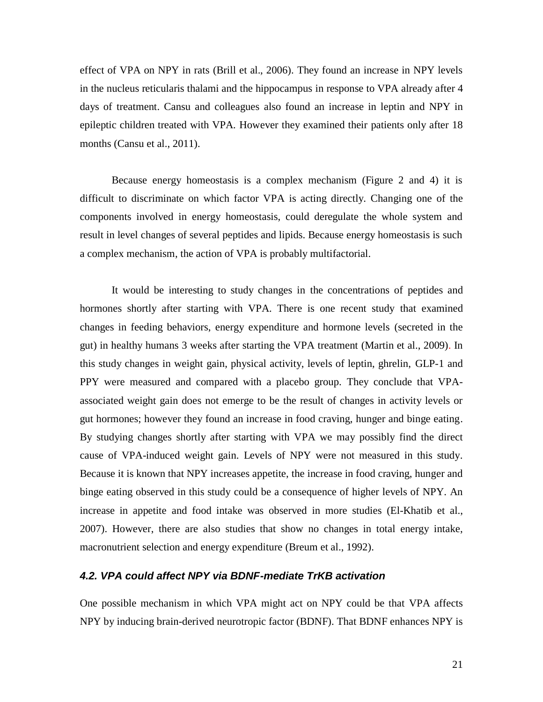effect of VPA on NPY in rats (Brill et al., 2006). They found an increase in NPY levels in the nucleus reticularis thalami and the hippocampus in response to VPA already after 4 days of treatment. Cansu and colleagues also found an increase in leptin and NPY in epileptic children treated with VPA. However they examined their patients only after 18 months (Cansu et al., 2011).

Because energy homeostasis is a complex mechanism (Figure 2 and 4) it is difficult to discriminate on which factor VPA is acting directly. Changing one of the components involved in energy homeostasis, could deregulate the whole system and result in level changes of several peptides and lipids. Because energy homeostasis is such a complex mechanism, the action of VPA is probably multifactorial.

It would be interesting to study changes in the concentrations of peptides and hormones shortly after starting with VPA. There is one recent study that examined changes in feeding behaviors, energy expenditure and hormone levels (secreted in the gut) in healthy humans 3 weeks after starting the VPA treatment (Martin et al., 2009). In this study changes in weight gain, physical activity, levels of leptin, ghrelin, GLP-1 and PPY were measured and compared with a placebo group. They conclude that VPAassociated weight gain does not emerge to be the result of changes in activity levels or gut hormones; however they found an increase in food craving, hunger and binge eating. By studying changes shortly after starting with VPA we may possibly find the direct cause of VPA-induced weight gain. Levels of NPY were not measured in this study. Because it is known that NPY increases appetite, the increase in food craving, hunger and binge eating observed in this study could be a consequence of higher levels of NPY. An increase in appetite and food intake was observed in more studies (El-Khatib et al., 2007). However, there are also studies that show no changes in total energy intake, macronutrient selection and energy expenditure (Breum et al., 1992).

#### <span id="page-20-0"></span>*4.2. VPA could affect NPY via BDNF-mediate TrKB activation*

One possible mechanism in which VPA might act on NPY could be that VPA affects NPY by inducing brain-derived neurotropic factor (BDNF). That BDNF enhances NPY is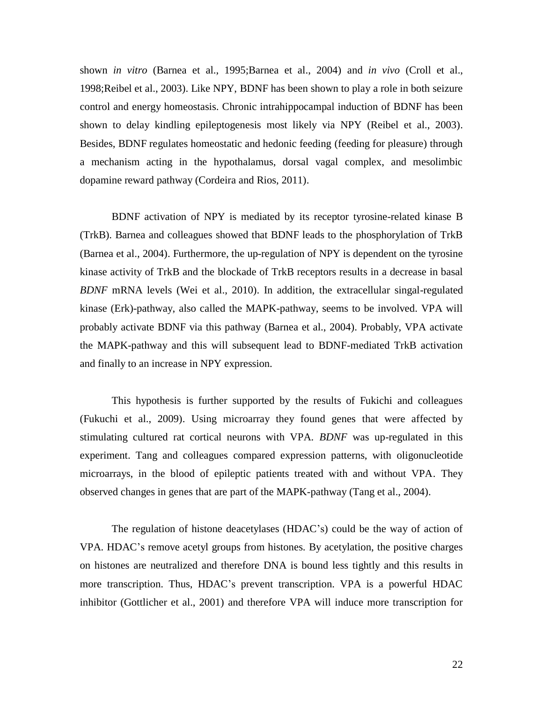shown *in vitro* (Barnea et al., 1995;Barnea et al., 2004) and *in vivo* (Croll et al., 1998;Reibel et al., 2003). Like NPY, BDNF has been shown to play a role in both seizure control and energy homeostasis. Chronic intrahippocampal induction of BDNF has been shown to delay kindling epileptogenesis most likely via NPY (Reibel et al., 2003). Besides, BDNF regulates homeostatic and hedonic feeding (feeding for pleasure) through a mechanism acting in the hypothalamus, dorsal vagal complex, and mesolimbic dopamine reward pathway (Cordeira and Rios, 2011).

BDNF activation of NPY is mediated by its receptor tyrosine-related kinase B (TrkB). Barnea and colleagues showed that BDNF leads to the phosphorylation of TrkB (Barnea et al., 2004). Furthermore, the up-regulation of NPY is dependent on the tyrosine kinase activity of TrkB and the blockade of TrkB receptors results in a decrease in basal *BDNF* mRNA levels (Wei et al., 2010). In addition, the extracellular singal-regulated kinase (Erk)-pathway, also called the MAPK-pathway, seems to be involved. VPA will probably activate BDNF via this pathway (Barnea et al., 2004). Probably, VPA activate the MAPK-pathway and this will subsequent lead to BDNF-mediated TrkB activation and finally to an increase in NPY expression.

This hypothesis is further supported by the results of Fukichi and colleagues (Fukuchi et al., 2009). Using microarray they found genes that were affected by stimulating cultured rat cortical neurons with VPA. *BDNF* was up-regulated in this experiment. Tang and colleagues compared expression patterns, with oligonucleotide microarrays, in the blood of epileptic patients treated with and without VPA. They observed changes in genes that are part of the MAPK-pathway (Tang et al., 2004).

The regulation of histone deacetylases (HDAC's) could be the way of action of VPA. HDAC's remove acetyl groups from histones. By acetylation, the positive charges on histones are neutralized and therefore DNA is bound less tightly and this results in more transcription. Thus, HDAC's prevent transcription. VPA is a powerful HDAC inhibitor (Gottlicher et al., 2001) and therefore VPA will induce more transcription for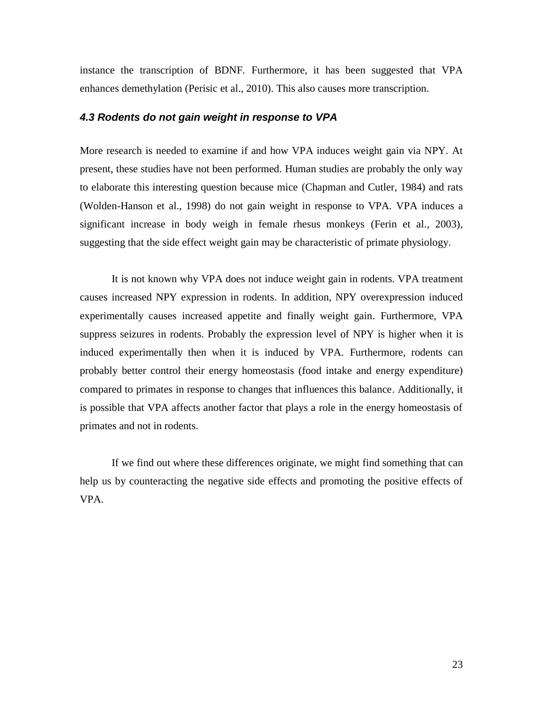instance the transcription of BDNF. Furthermore, it has been suggested that VPA enhances demethylation (Perisic et al., 2010). This also causes more transcription.

#### <span id="page-22-0"></span>*4.3 Rodents do not gain weight in response to VPA*

More research is needed to examine if and how VPA induces weight gain via NPY. At present, these studies have not been performed. Human studies are probably the only way to elaborate this interesting question because mice (Chapman and Cutler, 1984) and rats (Wolden-Hanson et al., 1998) do not gain weight in response to VPA. VPA induces a significant increase in body weigh in female rhesus monkeys (Ferin et al., 2003), suggesting that the side effect weight gain may be characteristic of primate physiology.

It is not known why VPA does not induce weight gain in rodents. VPA treatment causes increased NPY expression in rodents. In addition, NPY overexpression induced experimentally causes increased appetite and finally weight gain. Furthermore, VPA suppress seizures in rodents. Probably the expression level of NPY is higher when it is induced experimentally then when it is induced by VPA. Furthermore, rodents can probably better control their energy homeostasis (food intake and energy expenditure) compared to primates in response to changes that influences this balance. Additionally, it is possible that VPA affects another factor that plays a role in the energy homeostasis of primates and not in rodents.

If we find out where these differences originate, we might find something that can help us by counteracting the negative side effects and promoting the positive effects of VPA.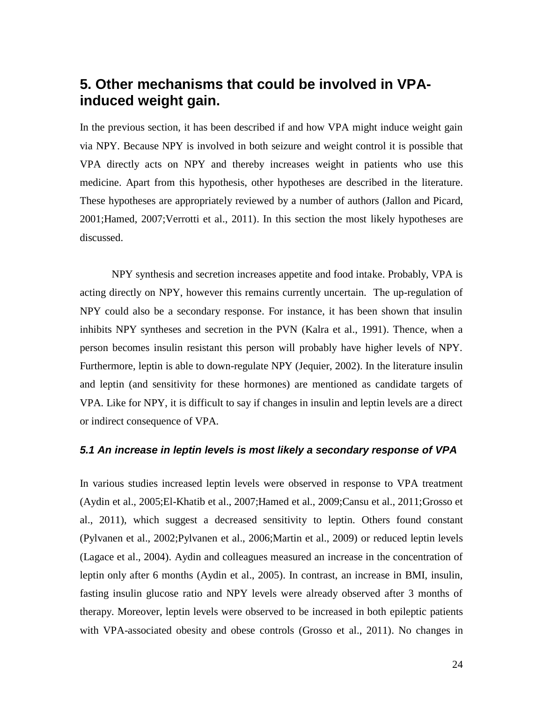# <span id="page-23-0"></span>**5. Other mechanisms that could be involved in VPAinduced weight gain.**

In the previous section, it has been described if and how VPA might induce weight gain via NPY. Because NPY is involved in both seizure and weight control it is possible that VPA directly acts on NPY and thereby increases weight in patients who use this medicine. Apart from this hypothesis, other hypotheses are described in the literature. These hypotheses are appropriately reviewed by a number of authors (Jallon and Picard, 2001;Hamed, 2007;Verrotti et al., 2011). In this section the most likely hypotheses are discussed.

NPY synthesis and secretion increases appetite and food intake. Probably, VPA is acting directly on NPY, however this remains currently uncertain. The up-regulation of NPY could also be a secondary response. For instance, it has been shown that insulin inhibits NPY syntheses and secretion in the PVN (Kalra et al., 1991). Thence, when a person becomes insulin resistant this person will probably have higher levels of NPY. Furthermore, leptin is able to down-regulate NPY (Jequier, 2002). In the literature insulin and leptin (and sensitivity for these hormones) are mentioned as candidate targets of VPA. Like for NPY, it is difficult to say if changes in insulin and leptin levels are a direct or indirect consequence of VPA.

#### <span id="page-23-1"></span>*5.1 An increase in leptin levels is most likely a secondary response of VPA*

In various studies increased leptin levels were observed in response to VPA treatment (Aydin et al., 2005;El-Khatib et al., 2007;Hamed et al., 2009;Cansu et al., 2011;Grosso et al., 2011), which suggest a decreased sensitivity to leptin. Others found constant (Pylvanen et al., 2002;Pylvanen et al., 2006;Martin et al., 2009) or reduced leptin levels (Lagace et al., 2004). Aydin and colleagues measured an increase in the concentration of leptin only after 6 months (Aydin et al., 2005). In contrast, an increase in BMI, insulin, fasting insulin glucose ratio and NPY levels were already observed after 3 months of therapy. Moreover, leptin levels were observed to be increased in both epileptic patients with VPA-associated obesity and obese controls (Grosso et al., 2011). No changes in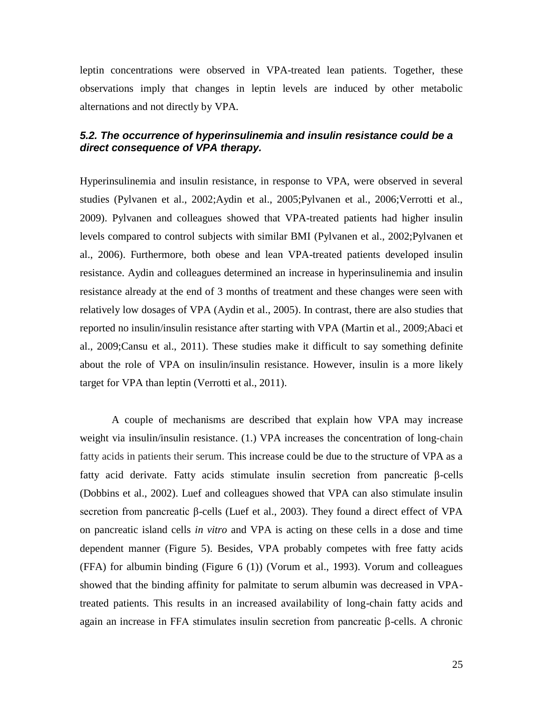leptin concentrations were observed in VPA-treated lean patients. Together, these observations imply that changes in leptin levels are induced by other metabolic alternations and not directly by VPA.

#### <span id="page-24-0"></span>*5.2. The occurrence of hyperinsulinemia and insulin resistance could be a direct consequence of VPA therapy.*

Hyperinsulinemia and insulin resistance, in response to VPA, were observed in several studies (Pylvanen et al., 2002;Aydin et al., 2005;Pylvanen et al., 2006;Verrotti et al., 2009). Pylvanen and colleagues showed that VPA-treated patients had higher insulin levels compared to control subjects with similar BMI (Pylvanen et al., 2002;Pylvanen et al., 2006). Furthermore, both obese and lean VPA-treated patients developed insulin resistance. Aydin and colleagues determined an increase in hyperinsulinemia and insulin resistance already at the end of 3 months of treatment and these changes were seen with relatively low dosages of VPA (Aydin et al., 2005). In contrast, there are also studies that reported no insulin/insulin resistance after starting with VPA (Martin et al., 2009;Abaci et al., 2009;Cansu et al., 2011). These studies make it difficult to say something definite about the role of VPA on insulin/insulin resistance. However, insulin is a more likely target for VPA than leptin (Verrotti et al., 2011).

A couple of mechanisms are described that explain how VPA may increase weight via insulin/insulin resistance. (1.) VPA increases the concentration of long-chain fatty acids in patients their serum. This increase could be due to the structure of VPA as a fatty acid derivate. Fatty acids stimulate insulin secretion from pancreatic β-cells (Dobbins et al., 2002). Luef and colleagues showed that VPA can also stimulate insulin secretion from pancreatic β-cells (Luef et al., 2003). They found a direct effect of VPA on pancreatic island cells *in vitro* and VPA is acting on these cells in a dose and time dependent manner (Figure 5). Besides, VPA probably competes with free fatty acids (FFA) for albumin binding (Figure 6 (1)) (Vorum et al., 1993). Vorum and colleagues showed that the binding affinity for palmitate to serum albumin was decreased in VPAtreated patients. This results in an increased availability of long-chain fatty acids and again an increase in FFA stimulates insulin secretion from pancreatic β-cells. A chronic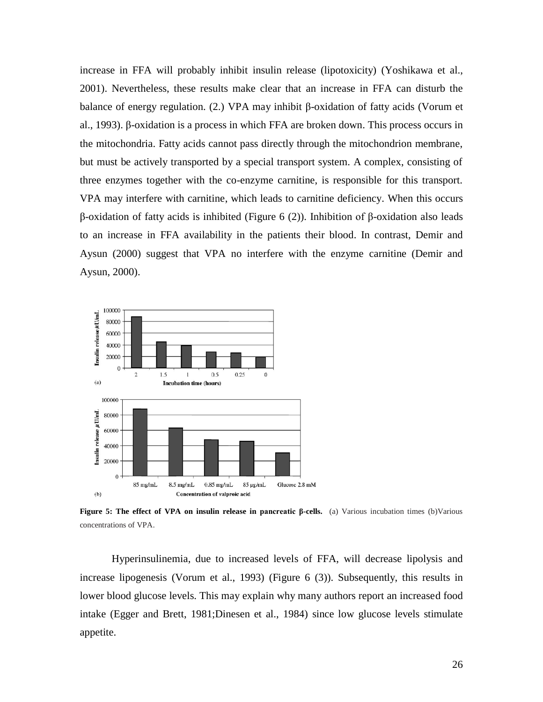increase in FFA will probably inhibit insulin release (lipotoxicity) (Yoshikawa et al., 2001). Nevertheless, these results make clear that an increase in FFA can disturb the balance of energy regulation. (2.) VPA may inhibit β-oxidation of fatty acids (Vorum et al., 1993). β-oxidation is a process in which FFA are broken down. This process occurs in the mitochondria. Fatty acids cannot pass directly through the mitochondrion membrane, but must be actively transported by a special transport system. A complex, consisting of three enzymes together with the co-enzyme carnitine, is responsible for this transport. VPA may interfere with carnitine, which leads to carnitine deficiency. When this occurs β-oxidation of fatty acids is inhibited (Figure 6 (2)). Inhibition of β-oxidation also leads to an increase in FFA availability in the patients their blood. In contrast, Demir and Aysun (2000) suggest that VPA no interfere with the enzyme carnitine (Demir and Aysun, 2000).



**Figure 5: The effect of VPA on insulin release in pancreatic β-cells.** (a) Various incubation times (b)Various concentrations of VPA.

Hyperinsulinemia, due to increased levels of FFA, will decrease lipolysis and increase lipogenesis (Vorum et al., 1993) (Figure 6 (3)). Subsequently, this results in lower blood glucose levels. This may explain why many authors report an increased food intake (Egger and Brett, 1981;Dinesen et al., 1984) since low glucose levels stimulate appetite.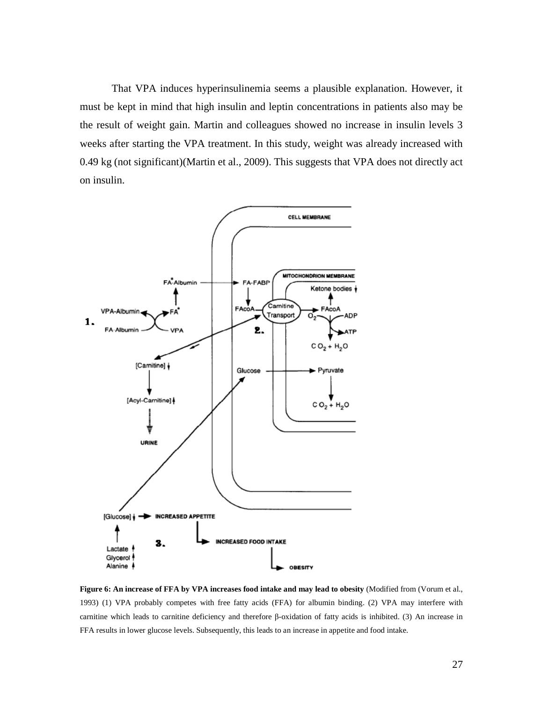That VPA induces hyperinsulinemia seems a plausible explanation. However, it must be kept in mind that high insulin and leptin concentrations in patients also may be the result of weight gain. Martin and colleagues showed no increase in insulin levels 3 weeks after starting the VPA treatment. In this study, weight was already increased with 0.49 kg (not significant)(Martin et al., 2009). This suggests that VPA does not directly act on insulin.



**Figure 6: An increase of FFA by VPA increases food intake and may lead to obesity** (Modified from (Vorum et al., 1993) (1) VPA probably competes with free fatty acids (FFA) for albumin binding. (2) VPA may interfere with carnitine which leads to carnitine deficiency and therefore β-oxidation of fatty acids is inhibited. (3) An increase in FFA results in lower glucose levels. Subsequently, this leads to an increase in appetite and food intake.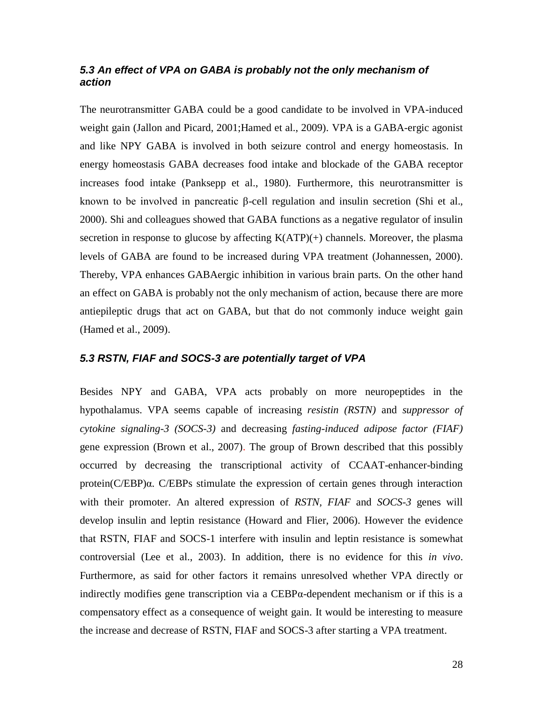#### <span id="page-27-0"></span>*5.3 An effect of VPA on GABA is probably not the only mechanism of action*

The neurotransmitter GABA could be a good candidate to be involved in VPA-induced weight gain (Jallon and Picard, 2001;Hamed et al., 2009)*.* VPA is a GABA-ergic agonist and like NPY GABA is involved in both seizure control and energy homeostasis. In energy homeostasis GABA decreases food intake and blockade of the GABA receptor increases food intake (Panksepp et al., 1980). Furthermore, this neurotransmitter is known to be involved in pancreatic β-cell regulation and insulin secretion (Shi et al., 2000). Shi and colleagues showed that GABA functions as a negative regulator of insulin secretion in response to glucose by affecting  $K(ATP)(+)$  channels. Moreover, the plasma levels of GABA are found to be increased during VPA treatment (Johannessen, 2000). Thereby, VPA enhances GABAergic inhibition in various brain parts. On the other hand an effect on GABA is probably not the only mechanism of action, because there are more antiepileptic drugs that act on GABA, but that do not commonly induce weight gain (Hamed et al., 2009).

#### <span id="page-27-1"></span>*5.3 RSTN, FIAF and SOCS-3 are potentially target of VPA*

Besides NPY and GABA, VPA acts probably on more neuropeptides in the hypothalamus. VPA seems capable of increasing *resistin (RSTN)* and *suppressor of cytokine signaling-3 (SOCS-3)* and decreasing *fasting-induced adipose factor (FIAF)* gene expression (Brown et al., 2007). The group of Brown described that this possibly occurred by decreasing the transcriptional activity of CCAAT-enhancer-binding protein(C/EBP)α. C/EBPs stimulate the expression of certain genes through interaction with their promoter. An altered expression of *RSTN, FIAF* and *SOCS-3* genes will develop insulin and leptin resistance (Howard and Flier, 2006). However the evidence that RSTN, FIAF and SOCS-1 interfere with insulin and leptin resistance is somewhat controversial (Lee et al., 2003). In addition, there is no evidence for this *in vivo*. Furthermore, as said for other factors it remains unresolved whether VPA directly or indirectly modifies gene transcription via a CEBPα-dependent mechanism or if this is a compensatory effect as a consequence of weight gain. It would be interesting to measure the increase and decrease of RSTN, FIAF and SOCS-3 after starting a VPA treatment.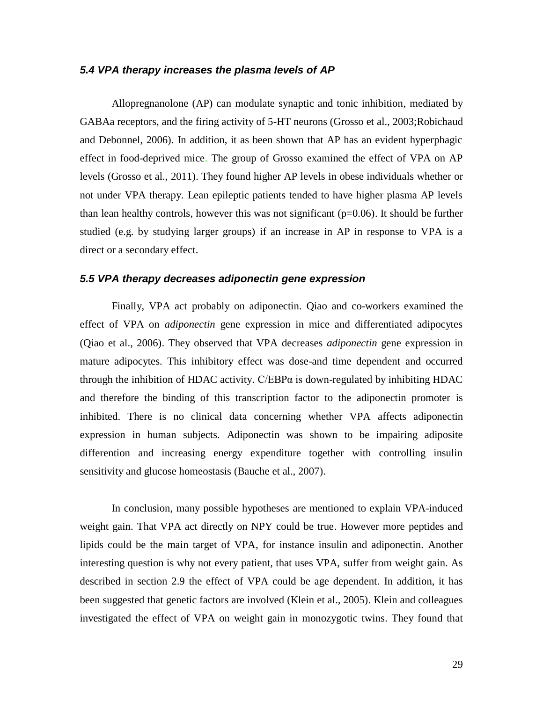#### <span id="page-28-0"></span>*5.4 VPA therapy increases the plasma levels of AP*

Allopregnanolone (AP) can modulate synaptic and tonic inhibition, mediated by GABAa receptors, and the firing activity of 5-HT neurons (Grosso et al., 2003;Robichaud and Debonnel, 2006). In addition, it as been shown that AP has an evident hyperphagic effect in food-deprived mice. The group of Grosso examined the effect of VPA on AP levels (Grosso et al., 2011). They found higher AP levels in obese individuals whether or not under VPA therapy. Lean epileptic patients tended to have higher plasma AP levels than lean healthy controls, however this was not significant  $(p=0.06)$ . It should be further studied (e.g. by studying larger groups) if an increase in AP in response to VPA is a direct or a secondary effect.

#### <span id="page-28-1"></span>*5.5 VPA therapy decreases adiponectin gene expression*

Finally, VPA act probably on adiponectin. Qiao and co-workers examined the effect of VPA on *adiponectin* gene expression in mice and differentiated adipocytes (Qiao et al., 2006). They observed that VPA decreases *adiponectin* gene expression in mature adipocytes. This inhibitory effect was dose-and time dependent and occurred through the inhibition of HDAC activity.  $C/EBP\alpha$  is down-regulated by inhibiting HDAC and therefore the binding of this transcription factor to the adiponectin promoter is inhibited. There is no clinical data concerning whether VPA affects adiponectin expression in human subjects. Adiponectin was shown to be impairing adiposite differention and increasing energy expenditure together with controlling insulin sensitivity and glucose homeostasis (Bauche et al., 2007).

In conclusion, many possible hypotheses are mentioned to explain VPA-induced weight gain. That VPA act directly on NPY could be true. However more peptides and lipids could be the main target of VPA, for instance insulin and adiponectin. Another interesting question is why not every patient, that uses VPA, suffer from weight gain. As described in section 2.9 the effect of VPA could be age dependent. In addition, it has been suggested that genetic factors are involved (Klein et al., 2005). Klein and colleagues investigated the effect of VPA on weight gain in monozygotic twins. They found that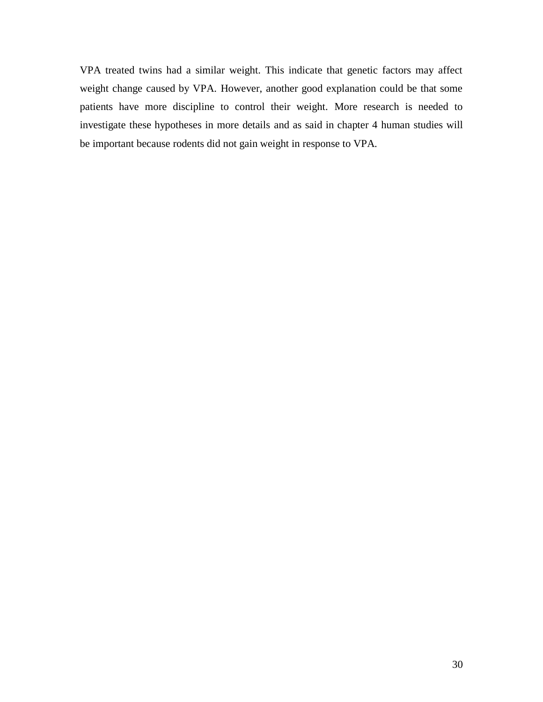VPA treated twins had a similar weight. This indicate that genetic factors may affect weight change caused by VPA. However, another good explanation could be that some patients have more discipline to control their weight. More research is needed to investigate these hypotheses in more details and as said in chapter 4 human studies will be important because rodents did not gain weight in response to VPA.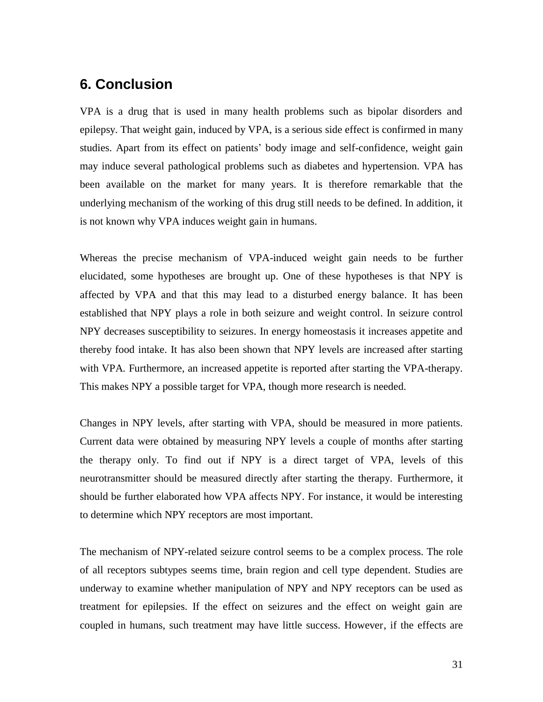# <span id="page-30-0"></span>**6. Conclusion**

VPA is a drug that is used in many health problems such as bipolar disorders and epilepsy. That weight gain, induced by VPA, is a serious side effect is confirmed in many studies. Apart from its effect on patients' body image and self-confidence, weight gain may induce several pathological problems such as diabetes and hypertension. VPA has been available on the market for many years. It is therefore remarkable that the underlying mechanism of the working of this drug still needs to be defined. In addition, it is not known why VPA induces weight gain in humans.

Whereas the precise mechanism of VPA-induced weight gain needs to be further elucidated, some hypotheses are brought up. One of these hypotheses is that NPY is affected by VPA and that this may lead to a disturbed energy balance. It has been established that NPY plays a role in both seizure and weight control. In seizure control NPY decreases susceptibility to seizures. In energy homeostasis it increases appetite and thereby food intake. It has also been shown that NPY levels are increased after starting with VPA. Furthermore, an increased appetite is reported after starting the VPA-therapy. This makes NPY a possible target for VPA, though more research is needed.

Changes in NPY levels, after starting with VPA, should be measured in more patients. Current data were obtained by measuring NPY levels a couple of months after starting the therapy only. To find out if NPY is a direct target of VPA, levels of this neurotransmitter should be measured directly after starting the therapy. Furthermore, it should be further elaborated how VPA affects NPY. For instance, it would be interesting to determine which NPY receptors are most important.

The mechanism of NPY-related seizure control seems to be a complex process. The role of all receptors subtypes seems time, brain region and cell type dependent. Studies are underway to examine whether manipulation of NPY and NPY receptors can be used as treatment for epilepsies. If the effect on seizures and the effect on weight gain are coupled in humans, such treatment may have little success. However, if the effects are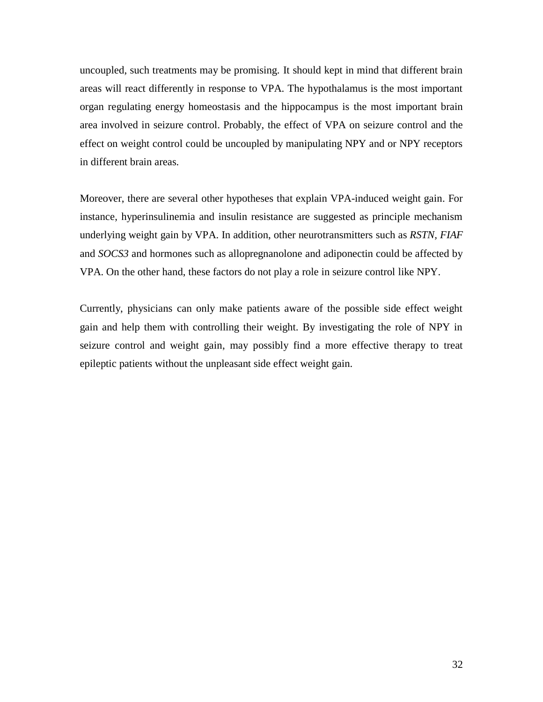uncoupled, such treatments may be promising. It should kept in mind that different brain areas will react differently in response to VPA. The hypothalamus is the most important organ regulating energy homeostasis and the hippocampus is the most important brain area involved in seizure control. Probably, the effect of VPA on seizure control and the effect on weight control could be uncoupled by manipulating NPY and or NPY receptors in different brain areas.

Moreover, there are several other hypotheses that explain VPA-induced weight gain. For instance, hyperinsulinemia and insulin resistance are suggested as principle mechanism underlying weight gain by VPA. In addition, other neurotransmitters such as *RSTN, FIAF* and *SOCS3* and hormones such as allopregnanolone and adiponectin could be affected by VPA. On the other hand, these factors do not play a role in seizure control like NPY.

Currently, physicians can only make patients aware of the possible side effect weight gain and help them with controlling their weight. By investigating the role of NPY in seizure control and weight gain, may possibly find a more effective therapy to treat epileptic patients without the unpleasant side effect weight gain.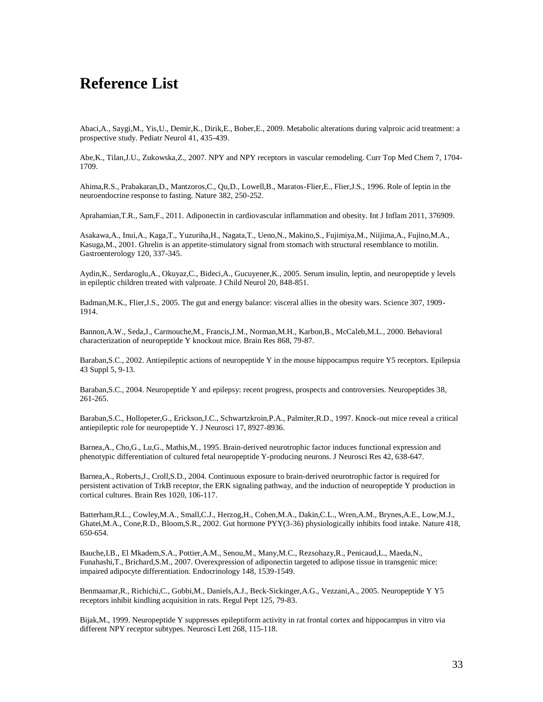# <span id="page-32-0"></span>**Reference List**

Abaci,A., Saygi,M., Yis,U., Demir,K., Dirik,E., Bober,E., 2009. Metabolic alterations during valproic acid treatment: a prospective study. Pediatr Neurol 41, 435-439.

Abe,K., Tilan,J.U., Zukowska,Z., 2007. NPY and NPY receptors in vascular remodeling. Curr Top Med Chem 7, 1704- 1709.

Ahima,R.S., Prabakaran,D., Mantzoros,C., Qu,D., Lowell,B., Maratos-Flier,E., Flier,J.S., 1996. Role of leptin in the neuroendocrine response to fasting. Nature 382, 250-252.

Aprahamian,T.R., Sam,F., 2011. Adiponectin in cardiovascular inflammation and obesity. Int J Inflam 2011, 376909.

Asakawa,A., Inui,A., Kaga,T., Yuzuriha,H., Nagata,T., Ueno,N., Makino,S., Fujimiya,M., Niijima,A., Fujino,M.A., Kasuga,M., 2001. Ghrelin is an appetite-stimulatory signal from stomach with structural resemblance to motilin. Gastroenterology 120, 337-345.

Aydin,K., Serdaroglu,A., Okuyaz,C., Bideci,A., Gucuyener,K., 2005. Serum insulin, leptin, and neuropeptide y levels in epileptic children treated with valproate. J Child Neurol 20, 848-851.

Badman,M.K., Flier,J.S., 2005. The gut and energy balance: visceral allies in the obesity wars. Science 307, 1909- 1914.

Bannon,A.W., Seda,J., Carmouche,M., Francis,J.M., Norman,M.H., Karbon,B., McCaleb,M.L., 2000. Behavioral characterization of neuropeptide Y knockout mice. Brain Res 868, 79-87.

Baraban,S.C., 2002. Antiepileptic actions of neuropeptide Y in the mouse hippocampus require Y5 receptors. Epilepsia 43 Suppl 5, 9-13.

Baraban,S.C., 2004. Neuropeptide Y and epilepsy: recent progress, prospects and controversies. Neuropeptides 38, 261-265.

Baraban,S.C., Hollopeter,G., Erickson,J.C., Schwartzkroin,P.A., Palmiter,R.D., 1997. Knock-out mice reveal a critical antiepileptic role for neuropeptide Y. J Neurosci 17, 8927-8936.

Barnea,A., Cho,G., Lu,G., Mathis,M., 1995. Brain-derived neurotrophic factor induces functional expression and phenotypic differentiation of cultured fetal neuropeptide Y-producing neurons. J Neurosci Res 42, 638-647.

Barnea,A., Roberts,J., Croll,S.D., 2004. Continuous exposure to brain-derived neurotrophic factor is required for persistent activation of TrkB receptor, the ERK signaling pathway, and the induction of neuropeptide Y production in cortical cultures. Brain Res 1020, 106-117.

Batterham,R.L., Cowley,M.A., Small,C.J., Herzog,H., Cohen,M.A., Dakin,C.L., Wren,A.M., Brynes,A.E., Low,M.J., Ghatei,M.A., Cone,R.D., Bloom,S.R., 2002. Gut hormone PYY(3-36) physiologically inhibits food intake. Nature 418, 650-654.

Bauche,I.B., El Mkadem,S.A., Pottier,A.M., Senou,M., Many,M.C., Rezsohazy,R., Penicaud,L., Maeda,N., Funahashi,T., Brichard,S.M., 2007. Overexpression of adiponectin targeted to adipose tissue in transgenic mice: impaired adipocyte differentiation. Endocrinology 148, 1539-1549.

Benmaamar,R., Richichi,C., Gobbi,M., Daniels,A.J., Beck-Sickinger,A.G., Vezzani,A., 2005. Neuropeptide Y Y5 receptors inhibit kindling acquisition in rats. Regul Pept 125, 79-83.

Bijak,M., 1999. Neuropeptide Y suppresses epileptiform activity in rat frontal cortex and hippocampus in vitro via different NPY receptor subtypes. Neurosci Lett 268, 115-118.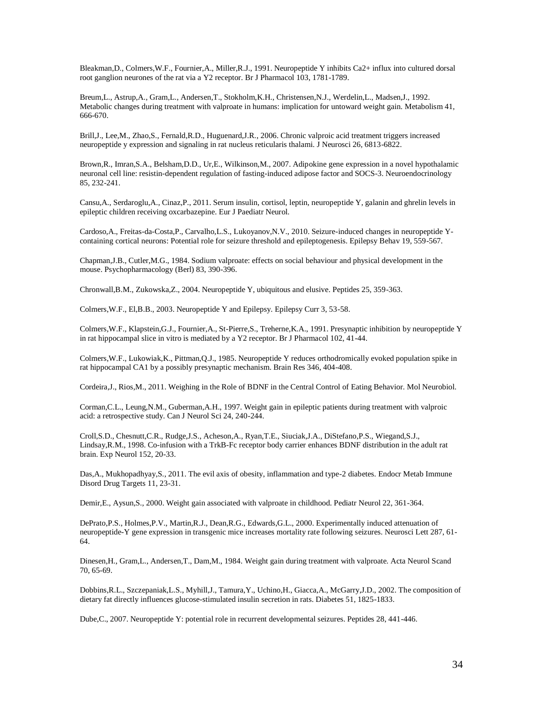Bleakman,D., Colmers,W.F., Fournier,A., Miller,R.J., 1991. Neuropeptide Y inhibits Ca2+ influx into cultured dorsal root ganglion neurones of the rat via a Y2 receptor. Br J Pharmacol 103, 1781-1789.

Breum,L., Astrup,A., Gram,L., Andersen,T., Stokholm,K.H., Christensen,N.J., Werdelin,L., Madsen,J., 1992. Metabolic changes during treatment with valproate in humans: implication for untoward weight gain. Metabolism 41, 666-670.

Brill,J., Lee,M., Zhao,S., Fernald,R.D., Huguenard,J.R., 2006. Chronic valproic acid treatment triggers increased neuropeptide y expression and signaling in rat nucleus reticularis thalami. J Neurosci 26, 6813-6822.

Brown,R., Imran,S.A., Belsham,D.D., Ur,E., Wilkinson,M., 2007. Adipokine gene expression in a novel hypothalamic neuronal cell line: resistin-dependent regulation of fasting-induced adipose factor and SOCS-3. Neuroendocrinology 85, 232-241.

Cansu,A., Serdaroglu,A., Cinaz,P., 2011. Serum insulin, cortisol, leptin, neuropeptide Y, galanin and ghrelin levels in epileptic children receiving oxcarbazepine. Eur J Paediatr Neurol.

Cardoso,A., Freitas-da-Costa,P., Carvalho,L.S., Lukoyanov,N.V., 2010. Seizure-induced changes in neuropeptide Ycontaining cortical neurons: Potential role for seizure threshold and epileptogenesis. Epilepsy Behav 19, 559-567.

Chapman,J.B., Cutler,M.G., 1984. Sodium valproate: effects on social behaviour and physical development in the mouse. Psychopharmacology (Berl) 83, 390-396.

Chronwall,B.M., Zukowska,Z., 2004. Neuropeptide Y, ubiquitous and elusive. Peptides 25, 359-363.

Colmers,W.F., El,B.B., 2003. Neuropeptide Y and Epilepsy. Epilepsy Curr 3, 53-58.

Colmers,W.F., Klapstein,G.J., Fournier,A., St-Pierre,S., Treherne,K.A., 1991. Presynaptic inhibition by neuropeptide Y in rat hippocampal slice in vitro is mediated by a Y2 receptor. Br J Pharmacol 102, 41-44.

Colmers,W.F., Lukowiak,K., Pittman,Q.J., 1985. Neuropeptide Y reduces orthodromically evoked population spike in rat hippocampal CA1 by a possibly presynaptic mechanism. Brain Res 346, 404-408.

Cordeira,J., Rios,M., 2011. Weighing in the Role of BDNF in the Central Control of Eating Behavior. Mol Neurobiol.

Corman,C.L., Leung,N.M., Guberman,A.H., 1997. Weight gain in epileptic patients during treatment with valproic acid: a retrospective study. Can J Neurol Sci 24, 240-244.

Croll,S.D., Chesnutt,C.R., Rudge,J.S., Acheson,A., Ryan,T.E., Siuciak,J.A., DiStefano,P.S., Wiegand,S.J., Lindsay,R.M., 1998. Co-infusion with a TrkB-Fc receptor body carrier enhances BDNF distribution in the adult rat brain. Exp Neurol 152, 20-33.

Das,A., Mukhopadhyay,S., 2011. The evil axis of obesity, inflammation and type-2 diabetes. Endocr Metab Immune Disord Drug Targets 11, 23-31.

Demir,E., Aysun,S., 2000. Weight gain associated with valproate in childhood. Pediatr Neurol 22, 361-364.

DePrato,P.S., Holmes,P.V., Martin,R.J., Dean,R.G., Edwards,G.L., 2000. Experimentally induced attenuation of neuropeptide-Y gene expression in transgenic mice increases mortality rate following seizures. Neurosci Lett 287, 61- 64.

Dinesen,H., Gram,L., Andersen,T., Dam,M., 1984. Weight gain during treatment with valproate. Acta Neurol Scand 70, 65-69.

Dobbins,R.L., Szczepaniak,L.S., Myhill,J., Tamura,Y., Uchino,H., Giacca,A., McGarry,J.D., 2002. The composition of dietary fat directly influences glucose-stimulated insulin secretion in rats. Diabetes 51, 1825-1833.

Dube,C., 2007. Neuropeptide Y: potential role in recurrent developmental seizures. Peptides 28, 441-446.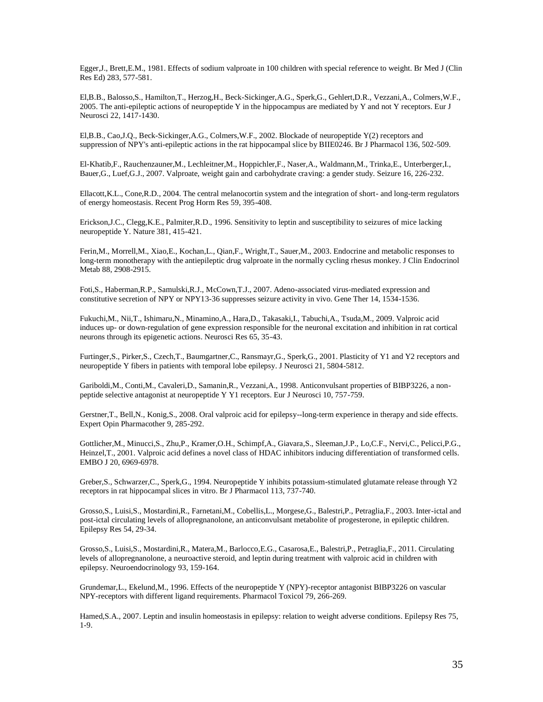Egger,J., Brett,E.M., 1981. Effects of sodium valproate in 100 children with special reference to weight. Br Med J (Clin Res Ed) 283, 577-581.

El,B.B., Balosso,S., Hamilton,T., Herzog,H., Beck-Sickinger,A.G., Sperk,G., Gehlert,D.R., Vezzani,A., Colmers,W.F., 2005. The anti-epileptic actions of neuropeptide Y in the hippocampus are mediated by Y and not Y receptors. Eur J Neurosci 22, 1417-1430.

El,B.B., Cao,J.Q., Beck-Sickinger,A.G., Colmers,W.F., 2002. Blockade of neuropeptide Y(2) receptors and suppression of NPY's anti-epileptic actions in the rat hippocampal slice by BIIE0246. Br J Pharmacol 136, 502-509.

El-Khatib,F., Rauchenzauner,M., Lechleitner,M., Hoppichler,F., Naser,A., Waldmann,M., Trinka,E., Unterberger,I., Bauer,G., Luef,G.J., 2007. Valproate, weight gain and carbohydrate craving: a gender study. Seizure 16, 226-232.

Ellacott,K.L., Cone,R.D., 2004. The central melanocortin system and the integration of short- and long-term regulators of energy homeostasis. Recent Prog Horm Res 59, 395-408.

Erickson,J.C., Clegg,K.E., Palmiter,R.D., 1996. Sensitivity to leptin and susceptibility to seizures of mice lacking neuropeptide Y. Nature 381, 415-421.

Ferin,M., Morrell,M., Xiao,E., Kochan,L., Qian,F., Wright,T., Sauer,M., 2003. Endocrine and metabolic responses to long-term monotherapy with the antiepileptic drug valproate in the normally cycling rhesus monkey. J Clin Endocrinol Metab 88, 2908-2915.

Foti,S., Haberman,R.P., Samulski,R.J., McCown,T.J., 2007. Adeno-associated virus-mediated expression and constitutive secretion of NPY or NPY13-36 suppresses seizure activity in vivo. Gene Ther 14, 1534-1536.

Fukuchi,M., Nii,T., Ishimaru,N., Minamino,A., Hara,D., Takasaki,I., Tabuchi,A., Tsuda,M., 2009. Valproic acid induces up- or down-regulation of gene expression responsible for the neuronal excitation and inhibition in rat cortical neurons through its epigenetic actions. Neurosci Res 65, 35-43.

Furtinger,S., Pirker,S., Czech,T., Baumgartner,C., Ransmayr,G., Sperk,G., 2001. Plasticity of Y1 and Y2 receptors and neuropeptide Y fibers in patients with temporal lobe epilepsy. J Neurosci 21, 5804-5812.

Gariboldi,M., Conti,M., Cavaleri,D., Samanin,R., Vezzani,A., 1998. Anticonvulsant properties of BIBP3226, a nonpeptide selective antagonist at neuropeptide Y Y1 receptors. Eur J Neurosci 10, 757-759.

Gerstner,T., Bell,N., Konig,S., 2008. Oral valproic acid for epilepsy--long-term experience in therapy and side effects. Expert Opin Pharmacother 9, 285-292.

Gottlicher,M., Minucci,S., Zhu,P., Kramer,O.H., Schimpf,A., Giavara,S., Sleeman,J.P., Lo,C.F., Nervi,C., Pelicci,P.G., Heinzel,T., 2001. Valproic acid defines a novel class of HDAC inhibitors inducing differentiation of transformed cells. EMBO J 20, 6969-6978.

Greber,S., Schwarzer,C., Sperk,G., 1994. Neuropeptide Y inhibits potassium-stimulated glutamate release through Y2 receptors in rat hippocampal slices in vitro. Br J Pharmacol 113, 737-740.

Grosso,S., Luisi,S., Mostardini,R., Farnetani,M., Cobellis,L., Morgese,G., Balestri,P., Petraglia,F., 2003. Inter-ictal and post-ictal circulating levels of allopregnanolone, an anticonvulsant metabolite of progesterone, in epileptic children. Epilepsy Res 54, 29-34.

Grosso,S., Luisi,S., Mostardini,R., Matera,M., Barlocco,E.G., Casarosa,E., Balestri,P., Petraglia,F., 2011. Circulating levels of allopregnanolone, a neuroactive steroid, and leptin during treatment with valproic acid in children with epilepsy. Neuroendocrinology 93, 159-164.

Grundemar,L., Ekelund,M., 1996. Effects of the neuropeptide Y (NPY)-receptor antagonist BIBP3226 on vascular NPY-receptors with different ligand requirements. Pharmacol Toxicol 79, 266-269.

Hamed,S.A., 2007. Leptin and insulin homeostasis in epilepsy: relation to weight adverse conditions. Epilepsy Res 75, 1-9.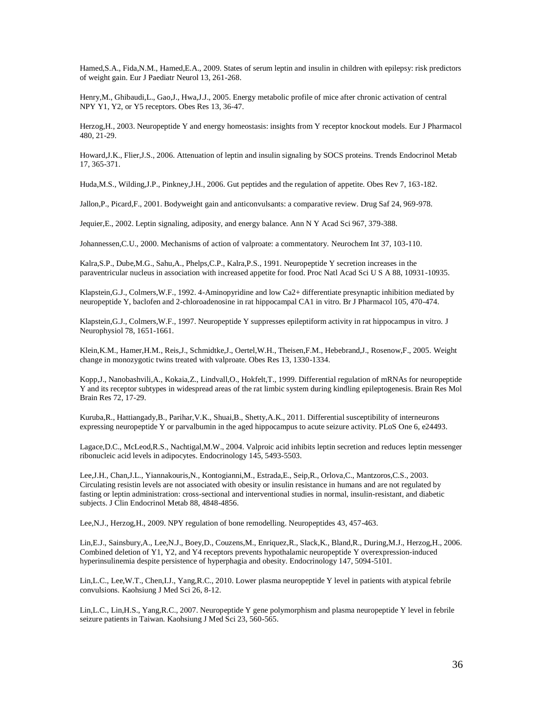Hamed,S.A., Fida,N.M., Hamed,E.A., 2009. States of serum leptin and insulin in children with epilepsy: risk predictors of weight gain. Eur J Paediatr Neurol 13, 261-268.

Henry,M., Ghibaudi,L., Gao,J., Hwa,J.J., 2005. Energy metabolic profile of mice after chronic activation of central NPY Y1, Y2, or Y5 receptors. Obes Res 13, 36-47.

Herzog,H., 2003. Neuropeptide Y and energy homeostasis: insights from Y receptor knockout models. Eur J Pharmacol 480, 21-29.

Howard,J.K., Flier,J.S., 2006. Attenuation of leptin and insulin signaling by SOCS proteins. Trends Endocrinol Metab 17, 365-371.

Huda,M.S., Wilding,J.P., Pinkney,J.H., 2006. Gut peptides and the regulation of appetite. Obes Rev 7, 163-182.

Jallon,P., Picard,F., 2001. Bodyweight gain and anticonvulsants: a comparative review. Drug Saf 24, 969-978.

Jequier,E., 2002. Leptin signaling, adiposity, and energy balance. Ann N Y Acad Sci 967, 379-388.

Johannessen,C.U., 2000. Mechanisms of action of valproate: a commentatory. Neurochem Int 37, 103-110.

Kalra,S.P., Dube,M.G., Sahu,A., Phelps,C.P., Kalra,P.S., 1991. Neuropeptide Y secretion increases in the paraventricular nucleus in association with increased appetite for food. Proc Natl Acad Sci U S A 88, 10931-10935.

Klapstein,G.J., Colmers,W.F., 1992. 4-Aminopyridine and low Ca2+ differentiate presynaptic inhibition mediated by neuropeptide Y, baclofen and 2-chloroadenosine in rat hippocampal CA1 in vitro. Br J Pharmacol 105, 470-474.

Klapstein,G.J., Colmers,W.F., 1997. Neuropeptide Y suppresses epileptiform activity in rat hippocampus in vitro. J Neurophysiol 78, 1651-1661.

Klein,K.M., Hamer,H.M., Reis,J., Schmidtke,J., Oertel,W.H., Theisen,F.M., Hebebrand,J., Rosenow,F., 2005. Weight change in monozygotic twins treated with valproate. Obes Res 13, 1330-1334.

Kopp,J., Nanobashvili,A., Kokaia,Z., Lindvall,O., Hokfelt,T., 1999. Differential regulation of mRNAs for neuropeptide Y and its receptor subtypes in widespread areas of the rat limbic system during kindling epileptogenesis. Brain Res Mol Brain Res 72, 17-29.

Kuruba,R., Hattiangady,B., Parihar,V.K., Shuai,B., Shetty,A.K., 2011. Differential susceptibility of interneurons expressing neuropeptide Y or parvalbumin in the aged hippocampus to acute seizure activity. PLoS One 6, e24493.

Lagace,D.C., McLeod,R.S., Nachtigal,M.W., 2004. Valproic acid inhibits leptin secretion and reduces leptin messenger ribonucleic acid levels in adipocytes. Endocrinology 145, 5493-5503.

Lee,J.H., Chan,J.L., Yiannakouris,N., Kontogianni,M., Estrada,E., Seip,R., Orlova,C., Mantzoros,C.S., 2003. Circulating resistin levels are not associated with obesity or insulin resistance in humans and are not regulated by fasting or leptin administration: cross-sectional and interventional studies in normal, insulin-resistant, and diabetic subjects. J Clin Endocrinol Metab 88, 4848-4856.

Lee,N.J., Herzog,H., 2009. NPY regulation of bone remodelling. Neuropeptides 43, 457-463.

Lin,E.J., Sainsbury,A., Lee,N.J., Boey,D., Couzens,M., Enriquez,R., Slack,K., Bland,R., During,M.J., Herzog,H., 2006. Combined deletion of Y1, Y2, and Y4 receptors prevents hypothalamic neuropeptide Y overexpression-induced hyperinsulinemia despite persistence of hyperphagia and obesity. Endocrinology 147, 5094-5101.

Lin,L.C., Lee,W.T., Chen,I.J., Yang,R.C., 2010. Lower plasma neuropeptide Y level in patients with atypical febrile convulsions. Kaohsiung J Med Sci 26, 8-12.

Lin,L.C., Lin,H.S., Yang,R.C., 2007. Neuropeptide Y gene polymorphism and plasma neuropeptide Y level in febrile seizure patients in Taiwan. Kaohsiung J Med Sci 23, 560-565.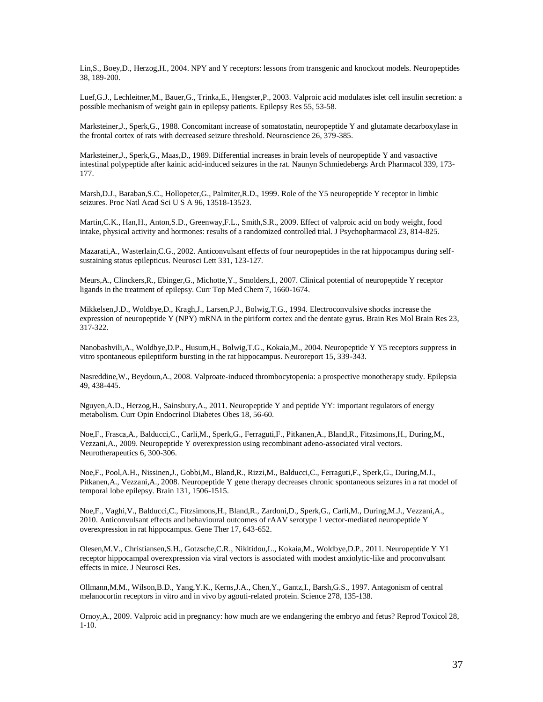Lin,S., Boey,D., Herzog,H., 2004. NPY and Y receptors: lessons from transgenic and knockout models. Neuropeptides 38, 189-200.

Luef,G.J., Lechleitner,M., Bauer,G., Trinka,E., Hengster,P., 2003. Valproic acid modulates islet cell insulin secretion: a possible mechanism of weight gain in epilepsy patients. Epilepsy Res 55, 53-58.

Marksteiner,J., Sperk,G., 1988. Concomitant increase of somatostatin, neuropeptide Y and glutamate decarboxylase in the frontal cortex of rats with decreased seizure threshold. Neuroscience 26, 379-385.

Marksteiner,J., Sperk,G., Maas,D., 1989. Differential increases in brain levels of neuropeptide Y and vasoactive intestinal polypeptide after kainic acid-induced seizures in the rat. Naunyn Schmiedebergs Arch Pharmacol 339, 173- 177.

Marsh,D.J., Baraban,S.C., Hollopeter,G., Palmiter,R.D., 1999. Role of the Y5 neuropeptide Y receptor in limbic seizures. Proc Natl Acad Sci U S A 96, 13518-13523.

Martin,C.K., Han,H., Anton,S.D., Greenway,F.L., Smith,S.R., 2009. Effect of valproic acid on body weight, food intake, physical activity and hormones: results of a randomized controlled trial. J Psychopharmacol 23, 814-825.

Mazarati,A., Wasterlain,C.G., 2002. Anticonvulsant effects of four neuropeptides in the rat hippocampus during selfsustaining status epilepticus. Neurosci Lett 331, 123-127.

Meurs,A., Clinckers,R., Ebinger,G., Michotte,Y., Smolders,I., 2007. Clinical potential of neuropeptide Y receptor ligands in the treatment of epilepsy. Curr Top Med Chem 7, 1660-1674.

Mikkelsen,J.D., Woldbye,D., Kragh,J., Larsen,P.J., Bolwig,T.G., 1994. Electroconvulsive shocks increase the expression of neuropeptide Y (NPY) mRNA in the piriform cortex and the dentate gyrus. Brain Res Mol Brain Res 23, 317-322.

Nanobashvili,A., Woldbye,D.P., Husum,H., Bolwig,T.G., Kokaia,M., 2004. Neuropeptide Y Y5 receptors suppress in vitro spontaneous epileptiform bursting in the rat hippocampus. Neuroreport 15, 339-343.

Nasreddine,W., Beydoun,A., 2008. Valproate-induced thrombocytopenia: a prospective monotherapy study. Epilepsia 49, 438-445.

Nguyen,A.D., Herzog,H., Sainsbury,A., 2011. Neuropeptide Y and peptide YY: important regulators of energy metabolism. Curr Opin Endocrinol Diabetes Obes 18, 56-60.

Noe,F., Frasca,A., Balducci,C., Carli,M., Sperk,G., Ferraguti,F., Pitkanen,A., Bland,R., Fitzsimons,H., During,M., Vezzani,A., 2009. Neuropeptide Y overexpression using recombinant adeno-associated viral vectors. Neurotherapeutics 6, 300-306.

Noe,F., Pool,A.H., Nissinen,J., Gobbi,M., Bland,R., Rizzi,M., Balducci,C., Ferraguti,F., Sperk,G., During,M.J., Pitkanen,A., Vezzani,A., 2008. Neuropeptide Y gene therapy decreases chronic spontaneous seizures in a rat model of temporal lobe epilepsy. Brain 131, 1506-1515.

Noe,F., Vaghi,V., Balducci,C., Fitzsimons,H., Bland,R., Zardoni,D., Sperk,G., Carli,M., During,M.J., Vezzani,A., 2010. Anticonvulsant effects and behavioural outcomes of rAAV serotype 1 vector-mediated neuropeptide Y overexpression in rat hippocampus. Gene Ther 17, 643-652.

Olesen,M.V., Christiansen,S.H., Gotzsche,C.R., Nikitidou,L., Kokaia,M., Woldbye,D.P., 2011. Neuropeptide Y Y1 receptor hippocampal overexpression via viral vectors is associated with modest anxiolytic-like and proconvulsant effects in mice. J Neurosci Res.

Ollmann,M.M., Wilson,B.D., Yang,Y.K., Kerns,J.A., Chen,Y., Gantz,I., Barsh,G.S., 1997. Antagonism of central melanocortin receptors in vitro and in vivo by agouti-related protein. Science 278, 135-138.

Ornoy,A., 2009. Valproic acid in pregnancy: how much are we endangering the embryo and fetus? Reprod Toxicol 28, 1-10.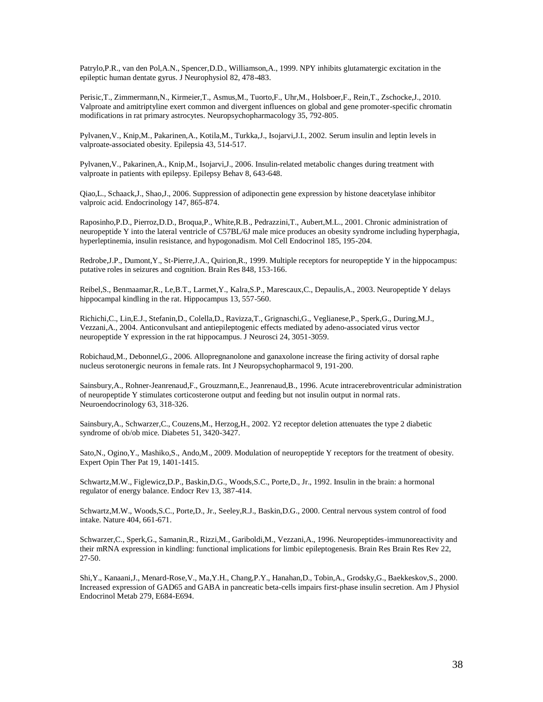Patrylo,P.R., van den Pol,A.N., Spencer,D.D., Williamson,A., 1999. NPY inhibits glutamatergic excitation in the epileptic human dentate gyrus. J Neurophysiol 82, 478-483.

Perisic,T., Zimmermann,N., Kirmeier,T., Asmus,M., Tuorto,F., Uhr,M., Holsboer,F., Rein,T., Zschocke,J., 2010. Valproate and amitriptyline exert common and divergent influences on global and gene promoter-specific chromatin modifications in rat primary astrocytes. Neuropsychopharmacology 35, 792-805.

Pylvanen,V., Knip,M., Pakarinen,A., Kotila,M., Turkka,J., Isojarvi,J.I., 2002. Serum insulin and leptin levels in valproate-associated obesity. Epilepsia 43, 514-517.

Pylvanen,V., Pakarinen,A., Knip,M., Isojarvi,J., 2006. Insulin-related metabolic changes during treatment with valproate in patients with epilepsy. Epilepsy Behav 8, 643-648.

Qiao,L., Schaack,J., Shao,J., 2006. Suppression of adiponectin gene expression by histone deacetylase inhibitor valproic acid. Endocrinology 147, 865-874.

Raposinho,P.D., Pierroz,D.D., Broqua,P., White,R.B., Pedrazzini,T., Aubert,M.L., 2001. Chronic administration of neuropeptide Y into the lateral ventricle of C57BL/6J male mice produces an obesity syndrome including hyperphagia, hyperleptinemia, insulin resistance, and hypogonadism. Mol Cell Endocrinol 185, 195-204.

Redrobe,J.P., Dumont,Y., St-Pierre,J.A., Quirion,R., 1999. Multiple receptors for neuropeptide Y in the hippocampus: putative roles in seizures and cognition. Brain Res 848, 153-166.

Reibel,S., Benmaamar,R., Le,B.T., Larmet,Y., Kalra,S.P., Marescaux,C., Depaulis,A., 2003. Neuropeptide Y delays hippocampal kindling in the rat. Hippocampus 13, 557-560.

Richichi,C., Lin,E.J., Stefanin,D., Colella,D., Ravizza,T., Grignaschi,G., Veglianese,P., Sperk,G., During,M.J., Vezzani,A., 2004. Anticonvulsant and antiepileptogenic effects mediated by adeno-associated virus vector neuropeptide Y expression in the rat hippocampus. J Neurosci 24, 3051-3059.

Robichaud,M., Debonnel,G., 2006. Allopregnanolone and ganaxolone increase the firing activity of dorsal raphe nucleus serotonergic neurons in female rats. Int J Neuropsychopharmacol 9, 191-200.

Sainsbury,A., Rohner-Jeanrenaud,F., Grouzmann,E., Jeanrenaud,B., 1996. Acute intracerebroventricular administration of neuropeptide Y stimulates corticosterone output and feeding but not insulin output in normal rats. Neuroendocrinology 63, 318-326.

Sainsbury,A., Schwarzer,C., Couzens,M., Herzog,H., 2002. Y2 receptor deletion attenuates the type 2 diabetic syndrome of ob/ob mice. Diabetes 51, 3420-3427.

Sato,N., Ogino,Y., Mashiko,S., Ando,M., 2009. Modulation of neuropeptide Y receptors for the treatment of obesity. Expert Opin Ther Pat 19, 1401-1415.

Schwartz,M.W., Figlewicz,D.P., Baskin,D.G., Woods,S.C., Porte,D., Jr., 1992. Insulin in the brain: a hormonal regulator of energy balance. Endocr Rev 13, 387-414.

Schwartz,M.W., Woods,S.C., Porte,D., Jr., Seeley,R.J., Baskin,D.G., 2000. Central nervous system control of food intake. Nature 404, 661-671.

Schwarzer,C., Sperk,G., Samanin,R., Rizzi,M., Gariboldi,M., Vezzani,A., 1996. Neuropeptides-immunoreactivity and their mRNA expression in kindling: functional implications for limbic epileptogenesis. Brain Res Brain Res Rev 22, 27-50.

Shi,Y., Kanaani,J., Menard-Rose,V., Ma,Y.H., Chang,P.Y., Hanahan,D., Tobin,A., Grodsky,G., Baekkeskov,S., 2000. Increased expression of GAD65 and GABA in pancreatic beta-cells impairs first-phase insulin secretion. Am J Physiol Endocrinol Metab 279, E684-E694.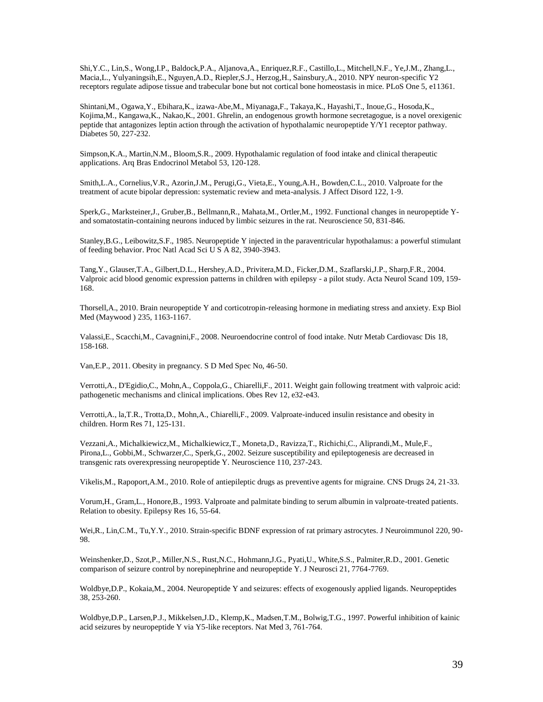Shi,Y.C., Lin,S., Wong,I.P., Baldock,P.A., Aljanova,A., Enriquez,R.F., Castillo,L., Mitchell,N.F., Ye,J.M., Zhang,L., Macia,L., Yulyaningsih,E., Nguyen,A.D., Riepler,S.J., Herzog,H., Sainsbury,A., 2010. NPY neuron-specific Y2 receptors regulate adipose tissue and trabecular bone but not cortical bone homeostasis in mice. PLoS One 5, e11361.

Shintani,M., Ogawa,Y., Ebihara,K., izawa-Abe,M., Miyanaga,F., Takaya,K., Hayashi,T., Inoue,G., Hosoda,K., Kojima,M., Kangawa,K., Nakao,K., 2001. Ghrelin, an endogenous growth hormone secretagogue, is a novel orexigenic peptide that antagonizes leptin action through the activation of hypothalamic neuropeptide  $\overline{Y}$ / $\overline{Y}$ 1 receptor pathway. Diabetes 50, 227-232.

Simpson,K.A., Martin,N.M., Bloom,S.R., 2009. Hypothalamic regulation of food intake and clinical therapeutic applications. Arq Bras Endocrinol Metabol 53, 120-128.

Smith,L.A., Cornelius,V.R., Azorin,J.M., Perugi,G., Vieta,E., Young,A.H., Bowden,C.L., 2010. Valproate for the treatment of acute bipolar depression: systematic review and meta-analysis. J Affect Disord 122, 1-9.

Sperk,G., Marksteiner,J., Gruber,B., Bellmann,R., Mahata,M., Ortler,M., 1992. Functional changes in neuropeptide Yand somatostatin-containing neurons induced by limbic seizures in the rat. Neuroscience 50, 831-846.

Stanley,B.G., Leibowitz,S.F., 1985. Neuropeptide Y injected in the paraventricular hypothalamus: a powerful stimulant of feeding behavior. Proc Natl Acad Sci U S A 82, 3940-3943.

Tang,Y., Glauser,T.A., Gilbert,D.L., Hershey,A.D., Privitera,M.D., Ficker,D.M., Szaflarski,J.P., Sharp,F.R., 2004. Valproic acid blood genomic expression patterns in children with epilepsy - a pilot study. Acta Neurol Scand 109, 159- 168.

Thorsell,A., 2010. Brain neuropeptide Y and corticotropin-releasing hormone in mediating stress and anxiety. Exp Biol Med (Maywood ) 235, 1163-1167.

Valassi,E., Scacchi,M., Cavagnini,F., 2008. Neuroendocrine control of food intake. Nutr Metab Cardiovasc Dis 18, 158-168.

Van,E.P., 2011. Obesity in pregnancy. S D Med Spec No, 46-50.

Verrotti,A., D'Egidio,C., Mohn,A., Coppola,G., Chiarelli,F., 2011. Weight gain following treatment with valproic acid: pathogenetic mechanisms and clinical implications. Obes Rev 12, e32-e43.

Verrotti,A., la,T.R., Trotta,D., Mohn,A., Chiarelli,F., 2009. Valproate-induced insulin resistance and obesity in children. Horm Res 71, 125-131.

Vezzani,A., Michalkiewicz,M., Michalkiewicz,T., Moneta,D., Ravizza,T., Richichi,C., Aliprandi,M., Mule,F., Pirona,L., Gobbi,M., Schwarzer,C., Sperk,G., 2002. Seizure susceptibility and epileptogenesis are decreased in transgenic rats overexpressing neuropeptide Y. Neuroscience 110, 237-243.

Vikelis,M., Rapoport,A.M., 2010. Role of antiepileptic drugs as preventive agents for migraine. CNS Drugs 24, 21-33.

Vorum,H., Gram,L., Honore,B., 1993. Valproate and palmitate binding to serum albumin in valproate-treated patients. Relation to obesity. Epilepsy Res 16, 55-64.

Wei,R., Lin,C.M., Tu,Y.Y., 2010. Strain-specific BDNF expression of rat primary astrocytes. J Neuroimmunol 220, 90- 98.

Weinshenker,D., Szot,P., Miller,N.S., Rust,N.C., Hohmann,J.G., Pyati,U., White,S.S., Palmiter,R.D., 2001. Genetic comparison of seizure control by norepinephrine and neuropeptide Y. J Neurosci 21, 7764-7769.

Woldbye,D.P., Kokaia,M., 2004. Neuropeptide Y and seizures: effects of exogenously applied ligands. Neuropeptides 38, 253-260.

Woldbye,D.P., Larsen,P.J., Mikkelsen,J.D., Klemp,K., Madsen,T.M., Bolwig,T.G., 1997. Powerful inhibition of kainic acid seizures by neuropeptide Y via Y5-like receptors. Nat Med 3, 761-764.